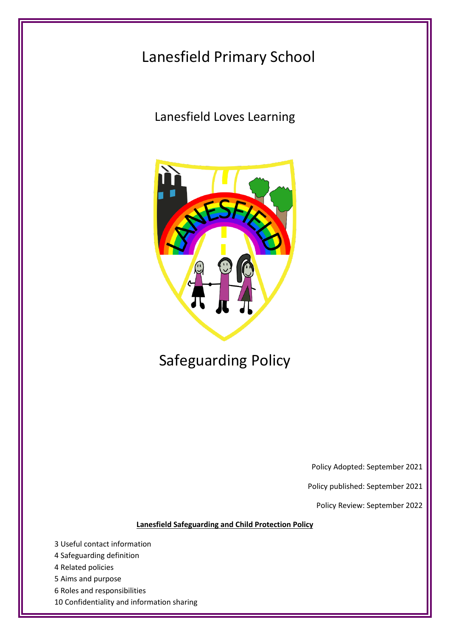# Lanesfield Primary School

Lanesfield Loves Learning



# Safeguarding Policy

Policy Adopted: September 2021

Policy published: September 2021

Policy Review: September 2022

**Lanesfield Safeguarding and Child Protection Policy**

3 Useful contact information

- 4 Safeguarding definition
- 4 Related policies
- 5 Aims and purpose
- 6 Roles and responsibilities
- 10 Confidentiality and information sharing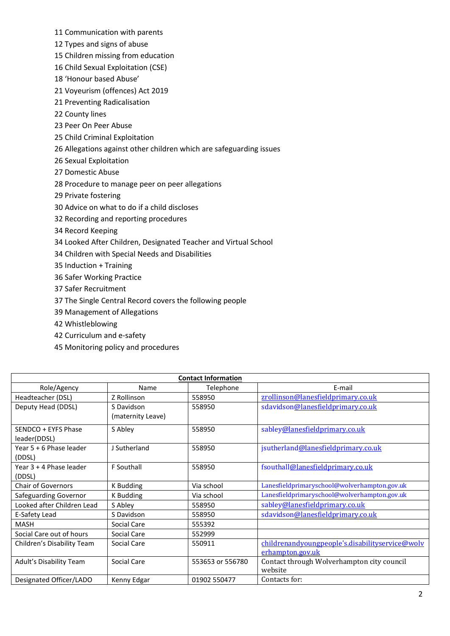- 11 Communication with parents
- 12 Types and signs of abuse
- 15 Children missing from education
- 16 Child Sexual Exploitation (CSE)
- 18 'Honour based Abuse'
- 21 Voyeurism (offences) Act 2019
- 21 Preventing Radicalisation
- 22 County lines
- 23 Peer On Peer Abuse
- 25 Child Criminal Exploitation
- 26 Allegations against other children which are safeguarding issues
- 26 Sexual Exploitation
- 27 Domestic Abuse
- 28 Procedure to manage peer on peer allegations
- 29 Private fostering
- 30 Advice on what to do if a child discloses
- 32 Recording and reporting procedures
- 34 Record Keeping
- 34 Looked After Children, Designated Teacher and Virtual School
- 34 Children with Special Needs and Disabilities
- 35 Induction + Training
- 36 Safer Working Practice
- 37 Safer Recruitment
- 37 The Single Central Record covers the following people
- 39 Management of Allegations
- 42 Whistleblowing
- 42 Curriculum and e-safety
- 45 Monitoring policy and procedures

| <b>Contact Information</b>          |                                 |                  |                                                       |  |  |
|-------------------------------------|---------------------------------|------------------|-------------------------------------------------------|--|--|
| Role/Agency                         | Name                            | Telephone        | E-mail                                                |  |  |
| Headteacher (DSL)                   | Z Rollinson                     | 558950           | zrollinson@lanesfieldprimary.co.uk                    |  |  |
| Deputy Head (DDSL)                  | S Davidson<br>(maternity Leave) | 558950           | sdavidson@lanesfieldprimary.co.uk                     |  |  |
| SENDCO + EYFS Phase<br>leader(DDSL) | S Abley                         | 558950           | sabley@lanesfieldprimary.co.uk                        |  |  |
| Year 5 + 6 Phase leader<br>(DDSL)   | <b>J.Sutherland</b>             | 558950           | jsutherland@lanesfieldprimary.co.uk                   |  |  |
| Year 3 + 4 Phase leader<br>(DDSL)   | F Southall                      | 558950           | fsouthall@lanesfieldprimary.co.uk                     |  |  |
| <b>Chair of Governors</b>           | K Budding                       | Via school       | Lanesfieldprimaryschool@wolverhampton.gov.uk          |  |  |
| Safeguarding Governor               | K Budding                       | Via school       | Lanesfieldprimaryschool@wolverhampton.gov.uk          |  |  |
| Looked after Children Lead          | S Abley                         | 558950           | sabley@lanesfieldprimary.co.uk                        |  |  |
| E-Safety Lead                       | S Davidson                      | 558950           | sdavidson@lanesfieldprimary.co.uk                     |  |  |
| <b>MASH</b>                         | Social Care                     | 555392           |                                                       |  |  |
| Social Care out of hours            | Social Care                     | 552999           |                                                       |  |  |
| Children's Disability Team          | Social Care                     | 550911           | childrenandyoungpeople's.disabilityservice@wolv       |  |  |
|                                     |                                 |                  | erhampton.gov.uk                                      |  |  |
| Adult's Disability Team             | Social Care                     | 553653 or 556780 | Contact through Wolverhampton city council<br>website |  |  |
| Designated Officer/LADO             | Kenny Edgar                     | 01902 550477     | Contacts for:                                         |  |  |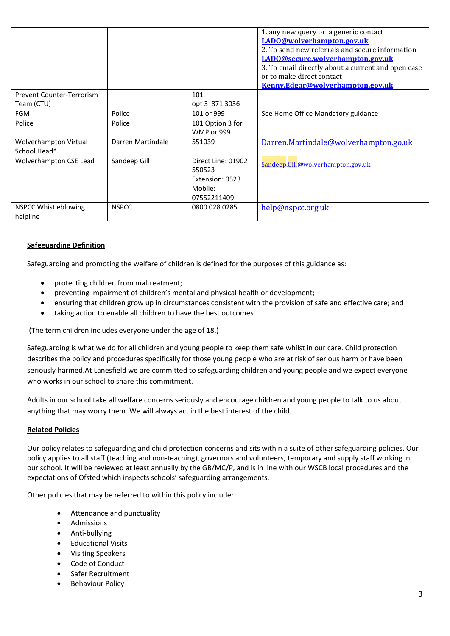|                             |                   |                    | 1. any new query or a generic contact              |
|-----------------------------|-------------------|--------------------|----------------------------------------------------|
|                             |                   |                    | LADO@wolverhampton.gov.uk                          |
|                             |                   |                    | 2. To send new referrals and secure information    |
|                             |                   |                    | LADO@secure.wolverhampton.gov.uk                   |
|                             |                   |                    | 3. To email directly about a current and open case |
|                             |                   |                    | or to make direct contact                          |
|                             |                   |                    | Kenny.Edgar@wolverhampton.gov.uk                   |
| Prevent Counter-Terrorism   |                   | 101                |                                                    |
| Team (CTU)                  |                   | opt 3 871 3036     |                                                    |
| <b>FGM</b>                  | Police            | 101 or 999         | See Home Office Mandatory guidance                 |
| Police                      | Police            | 101 Option 3 for   |                                                    |
|                             |                   | WMP or 999         |                                                    |
| Wolverhampton Virtual       | Darren Martindale | 551039             | Darren.Martindale@wolverhampton.go.uk              |
| School Head*                |                   |                    |                                                    |
| Wolverhampton CSE Lead      | Sandeep Gill      | Direct Line: 01902 | Sandeep.Gill@wolverhampton.gov.uk                  |
|                             |                   | 550523             |                                                    |
|                             |                   | Extension: 0523    |                                                    |
|                             |                   | Mobile:            |                                                    |
|                             |                   | 07552211409        |                                                    |
| <b>NSPCC Whistleblowing</b> | <b>NSPCC</b>      | 0800 028 0285      | help@nspcc.org.uk                                  |
| helpline                    |                   |                    |                                                    |
|                             |                   |                    |                                                    |

## **Safeguarding Definition**

Safeguarding and promoting the welfare of children is defined for the purposes of this guidance as:

- protecting children from maltreatment;
- preventing impairment of children's mental and physical health or development;
- ensuring that children grow up in circumstances consistent with the provision of safe and effective care; and
- taking action to enable all children to have the best outcomes.

(The term children includes everyone under the age of 18.)

Safeguarding is what we do for all children and young people to keep them safe whilst in our care. Child protection describes the policy and procedures specifically for those young people who are at risk of serious harm or have been seriously harmed.At Lanesfield we are committed to safeguarding children and young people and we expect everyone who works in our school to share this commitment.

Adults in our school take all welfare concerns seriously and encourage children and young people to talk to us about anything that may worry them. We will always act in the best interest of the child.

#### **Related Policies**

Our policy relates to safeguarding and child protection concerns and sits within a suite of other safeguarding policies. Our policy applies to all staff (teaching and non-teaching), governors and volunteers, temporary and supply staff working in our school. It will be reviewed at least annually by the GB/MC/P, and is in line with our WSCB local procedures and the expectations of Ofsted which inspects schools' safeguarding arrangements.

Other policies that may be referred to within this policy include:

- Attendance and punctuality
- Admissions
- Anti-bullying
- Educational Visits
- Visiting Speakers
- Code of Conduct
- Safer Recruitment
- **Behaviour Policy**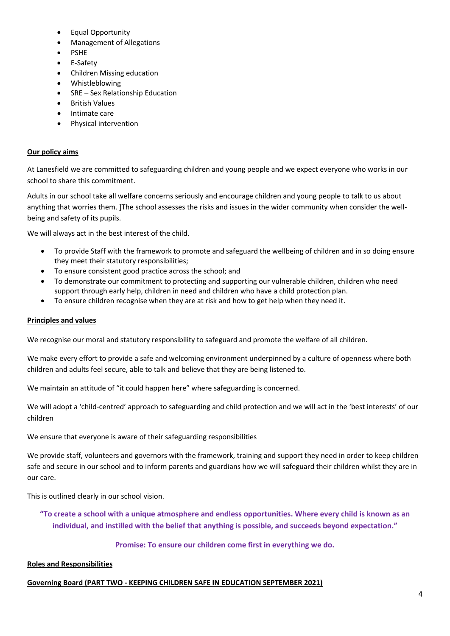- Equal Opportunity
- Management of Allegations
- PSHE
- E-Safety
- Children Missing education
- Whistleblowing
- SRE Sex Relationship Education
- British Values
- Intimate care
- Physical intervention

## **Our policy aims**

At Lanesfield we are committed to safeguarding children and young people and we expect everyone who works in our school to share this commitment.

Adults in our school take all welfare concerns seriously and encourage children and young people to talk to us about anything that worries them. ]The school assesses the risks and issues in the wider community when consider the wellbeing and safety of its pupils.

We will always act in the best interest of the child.

- To provide Staff with the framework to promote and safeguard the wellbeing of children and in so doing ensure they meet their statutory responsibilities;
- To ensure consistent good practice across the school; and
- To demonstrate our commitment to protecting and supporting our vulnerable children, children who need support through early help, children in need and children who have a child protection plan.
- To ensure children recognise when they are at risk and how to get help when they need it.

#### **Principles and values**

We recognise our moral and statutory responsibility to safeguard and promote the welfare of all children.

We make every effort to provide a safe and welcoming environment underpinned by a culture of openness where both children and adults feel secure, able to talk and believe that they are being listened to.

We maintain an attitude of "it could happen here" where safeguarding is concerned.

We will adopt a 'child-centred' approach to safeguarding and child protection and we will act in the 'best interests' of our children

We ensure that everyone is aware of their safeguarding responsibilities

We provide staff, volunteers and governors with the framework, training and support they need in order to keep children safe and secure in our school and to inform parents and guardians how we will safeguard their children whilst they are in our care.

This is outlined clearly in our school vision.

**"To create a school with a unique atmosphere and endless opportunities. Where every child is known as an individual, and instilled with the belief that anything is possible, and succeeds beyond expectation."**

#### **Promise: To ensure our children come first in everything we do.**

#### **Roles and Responsibilities**

#### **Governing Board (PART TWO - KEEPING CHILDREN SAFE IN EDUCATION SEPTEMBER 2021)**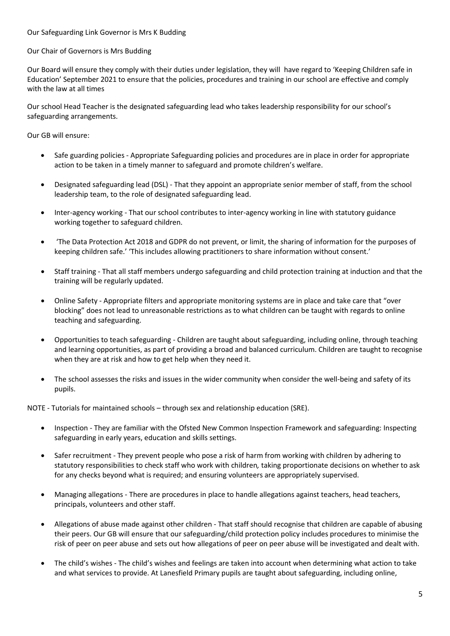#### Our Safeguarding Link Governor is Mrs K Budding

Our Chair of Governors is Mrs Budding

Our Board will ensure they comply with their duties under legislation, they will have regard to 'Keeping Children safe in Education' September 2021 to ensure that the policies, procedures and training in our school are effective and comply with the law at all times

Our school Head Teacher is the designated safeguarding lead who takes leadership responsibility for our school's safeguarding arrangements.

Our GB will ensure:

- Safe guarding policies Appropriate Safeguarding policies and procedures are in place in order for appropriate action to be taken in a timely manner to safeguard and promote children's welfare.
- Designated safeguarding lead (DSL) That they appoint an appropriate senior member of staff, from the school leadership team, to the role of designated safeguarding lead.
- Inter-agency working That our school contributes to inter-agency working in line with statutory guidance working together to safeguard children.
- 'The Data Protection Act 2018 and GDPR do not prevent, or limit, the sharing of information for the purposes of keeping children safe.' 'This includes allowing practitioners to share information without consent.'
- Staff training That all staff members undergo safeguarding and child protection training at induction and that the training will be regularly updated.
- Online Safety Appropriate filters and appropriate monitoring systems are in place and take care that "over blocking" does not lead to unreasonable restrictions as to what children can be taught with regards to online teaching and safeguarding.
- Opportunities to teach safeguarding Children are taught about safeguarding, including online, through teaching and learning opportunities, as part of providing a broad and balanced curriculum. Children are taught to recognise when they are at risk and how to get help when they need it.
- The school assesses the risks and issues in the wider community when consider the well-being and safety of its pupils.

NOTE - Tutorials for maintained schools – through sex and relationship education (SRE).

- Inspection They are familiar with the Ofsted New Common Inspection Framework and safeguarding: Inspecting safeguarding in early years, education and skills settings.
- Safer recruitment They prevent people who pose a risk of harm from working with children by adhering to statutory responsibilities to check staff who work with children*,* taking proportionate decisions on whether to ask for any checks beyond what is required; and ensuring volunteers are appropriately supervised.
- Managing allegations There are procedures in place to handle allegations against teachers, head teachers, principals, volunteers and other staff.
- Allegations of abuse made against other children That staff should recognise that children are capable of abusing their peers. Our GB will ensure that our safeguarding/child protection policy includes procedures to minimise the risk of peer on peer abuse and sets out how allegations of peer on peer abuse will be investigated and dealt with.
- The child's wishes The child's wishes and feelings are taken into account when determining what action to take and what services to provide. At Lanesfield Primary pupils are taught about safeguarding, including online,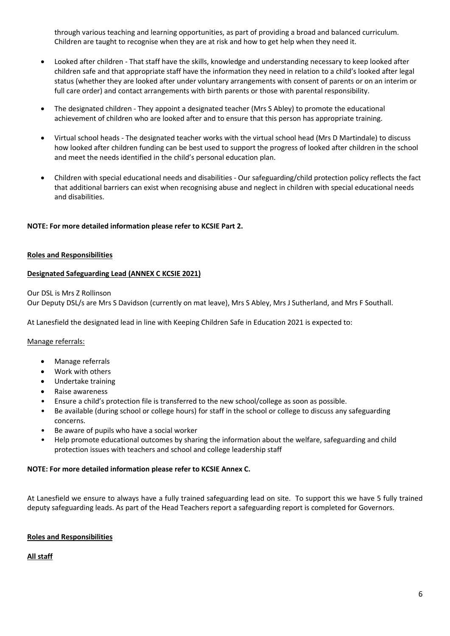through various teaching and learning opportunities, as part of providing a broad and balanced curriculum. Children are taught to recognise when they are at risk and how to get help when they need it.

- Looked after children That staff have the skills, knowledge and understanding necessary to keep looked after children safe and that appropriate staff have the information they need in relation to a child's looked after legal status (whether they are looked after under voluntary arrangements with consent of parents or on an interim or full care order) and contact arrangements with birth parents or those with parental responsibility.
- The designated children They appoint a designated teacher (Mrs S Abley) to promote the educational achievement of children who are looked after and to ensure that this person has appropriate training.
- Virtual school heads The designated teacher works with the virtual school head (Mrs D Martindale) to discuss how looked after children funding can be best used to support the progress of looked after children in the school and meet the needs identified in the child's personal education plan.
- Children with special educational needs and disabilities Our safeguarding/child protection policy reflects the fact that additional barriers can exist when recognising abuse and neglect in children with special educational needs and disabilities.

## **NOTE: For more detailed information please refer to KCSIE Part 2.**

#### **Roles and Responsibilities**

#### **Designated Safeguarding Lead (ANNEX C KCSIE 2021)**

Our DSL is Mrs Z Rollinson

Our Deputy DSL/s are Mrs S Davidson (currently on mat leave), Mrs S Abley, Mrs J Sutherland, and Mrs F Southall.

At Lanesfield the designated lead in line with Keeping Children Safe in Education 2021 is expected to:

#### Manage referrals:

- Manage referrals
- Work with others
- Undertake training
- Raise awareness
- Ensure a child's protection file is transferred to the new school/college as soon as possible.
- Be available (during school or college hours) for staff in the school or college to discuss any safeguarding concerns.
- Be aware of pupils who have a social worker
- Help promote educational outcomes by sharing the information about the welfare, safeguarding and child protection issues with teachers and school and college leadership staff

#### **NOTE: For more detailed information please refer to KCSIE Annex C.**

At Lanesfield we ensure to always have a fully trained safeguarding lead on site. To support this we have 5 fully trained deputy safeguarding leads. As part of the Head Teachers report a safeguarding report is completed for Governors.

#### **Roles and Responsibilities**

**All staff**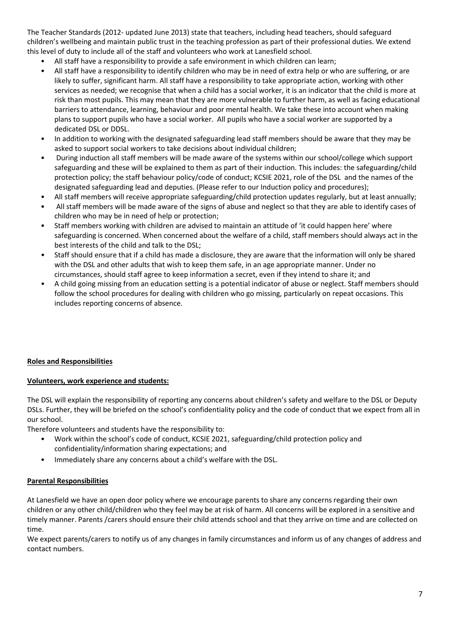The Teacher Standards (2012- updated June 2013) state that teachers, including head teachers, should safeguard children's wellbeing and maintain public trust in the teaching profession as part of their professional duties. We extend this level of duty to include all of the staff and volunteers who work at Lanesfield school.

- All staff have a responsibility to provide a safe environment in which children can learn;
- All staff have a responsibility to identify children who may be in need of extra help or who are suffering, or are likely to suffer, significant harm. All staff have a responsibility to take appropriate action, working with other services as needed; we recognise that when a child has a social worker, it is an indicator that the child is more at risk than most pupils. This may mean that they are more vulnerable to further harm, as well as facing educational barriers to attendance, learning, behaviour and poor mental health. We take these into account when making plans to support pupils who have a social worker. All pupils who have a social worker are supported by a dedicated DSL or DDSL.
- In addition to working with the designated safeguarding lead staff members should be aware that they may be asked to support social workers to take decisions about individual children;
- During induction all staff members will be made aware of the systems within our school/college which support safeguarding and these will be explained to them as part of their induction. This includes: the safeguarding/child protection policy; the staff behaviour policy/code of conduct; KCSIE 2021, role of the DSL and the names of the designated safeguarding lead and deputies. (Please refer to our Induction policy and procedures);
- All staff members will receive appropriate safeguarding/child protection updates regularly, but at least annually;
- All staff members will be made aware of the signs of abuse and neglect so that they are able to identify cases of children who may be in need of help or protection;
- Staff members working with children are advised to maintain an attitude of 'it could happen here' where safeguarding is concerned. When concerned about the welfare of a child, staff members should always act in the best interests of the child and talk to the DSL;
- Staff should ensure that if a child has made a disclosure, they are aware that the information will only be shared with the DSL and other adults that wish to keep them safe, in an age appropriate manner. Under no circumstances, should staff agree to keep information a secret, even if they intend to share it; and
- A child going missing from an education setting is a potential indicator of abuse or neglect. Staff members should follow the school procedures for dealing with children who go missing, particularly on repeat occasions. This includes reporting concerns of absence.

# **Roles and Responsibilities**

# **Volunteers, work experience and students:**

The DSL will explain the responsibility of reporting any concerns about children's safety and welfare to the DSL or Deputy DSLs. Further, they will be briefed on the school's confidentiality policy and the code of conduct that we expect from all in our school.

Therefore volunteers and students have the responsibility to:

- Work within the school's code of conduct, KCSIE 2021, safeguarding/child protection policy and confidentiality/information sharing expectations; and
- Immediately share any concerns about a child's welfare with the DSL.

# **Parental Responsibilities**

At Lanesfield we have an open door policy where we encourage parents to share any concerns regarding their own children or any other child/children who they feel may be at risk of harm. All concerns will be explored in a sensitive and timely manner. Parents /carers should ensure their child attends school and that they arrive on time and are collected on time.

We expect parents/carers to notify us of any changes in family circumstances and inform us of any changes of address and contact numbers.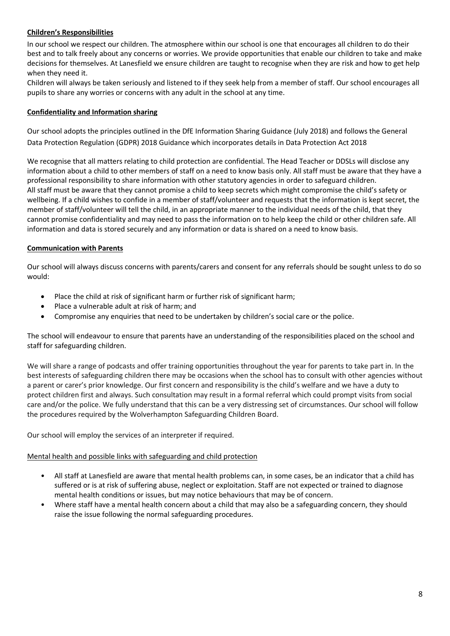# **Children's Responsibilities**

In our school we respect our children. The atmosphere within our school is one that encourages all children to do their best and to talk freely about any concerns or worries. We provide opportunities that enable our children to take and make decisions for themselves. At Lanesfield we ensure children are taught to recognise when they are risk and how to get help when they need it.

Children will always be taken seriously and listened to if they seek help from a member of staff. Our school encourages all pupils to share any worries or concerns with any adult in the school at any time.

#### **Confidentiality and Information sharing**

Our school adopts the principles outlined in the DfE Information Sharing Guidance (July 2018) and follows the General Data Protection Regulation (GDPR) 2018 Guidance which incorporates details in Data Protection Act 2018

We recognise that all matters relating to child protection are confidential. The Head Teacher or DDSLs will disclose any information about a child to other members of staff on a need to know basis only. All staff must be aware that they have a professional responsibility to share information with other statutory agencies in order to safeguard children. All staff must be aware that they cannot promise a child to keep secrets which might compromise the child's safety or wellbeing. If a child wishes to confide in a member of staff/volunteer and requests that the information is kept secret, the member of staff/volunteer will tell the child, in an appropriate manner to the individual needs of the child, that they cannot promise confidentiality and may need to pass the information on to help keep the child or other children safe. All information and data is stored securely and any information or data is shared on a need to know basis.

#### **Communication with Parents**

Our school will always discuss concerns with parents/carers and consent for any referrals should be sought unless to do so would:

- Place the child at risk of significant harm or further risk of significant harm;
- Place a vulnerable adult at risk of harm; and
- Compromise any enquiries that need to be undertaken by children's social care or the police.

The school will endeavour to ensure that parents have an understanding of the responsibilities placed on the school and staff for safeguarding children.

We will share a range of podcasts and offer training opportunities throughout the year for parents to take part in. In the best interests of safeguarding children there may be occasions when the school has to consult with other agencies without a parent or carer's prior knowledge. Our first concern and responsibility is the child's welfare and we have a duty to protect children first and always. Such consultation may result in a formal referral which could prompt visits from social care and/or the police. We fully understand that this can be a very distressing set of circumstances. Our school will follow the procedures required by the Wolverhampton Safeguarding Children Board.

Our school will employ the services of an interpreter if required.

#### Mental health and possible links with safeguarding and child protection

- All staff at Lanesfield are aware that mental health problems can, in some cases, be an indicator that a child has suffered or is at risk of suffering abuse, neglect or exploitation. Staff are not expected or trained to diagnose mental health conditions or issues, but may notice behaviours that may be of concern.
- Where staff have a mental health concern about a child that may also be a safeguarding concern, they should raise the issue following the normal safeguarding procedures.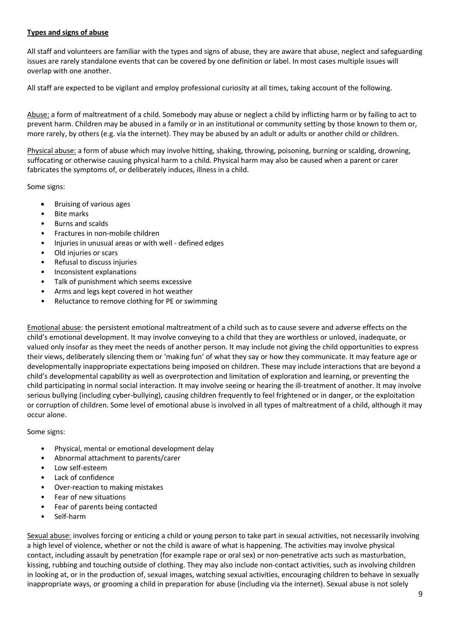## **Types and signs of abuse**

All staff and volunteers are familiar with the types and signs of abuse, they are aware that abuse, neglect and safeguarding issues are rarely standalone events that can be covered by one definition or label. In most cases multiple issues will overlap with one another.

All staff are expected to be vigilant and employ professional curiosity at all times, taking account of the following.

Abuse: a form of maltreatment of a child. Somebody may abuse or neglect a child by inflicting harm or by failing to act to prevent harm. Children may be abused in a family or in an institutional or community setting by those known to them or, more rarely, by others (e.g. via the internet). They may be abused by an adult or adults or another child or children.

Physical abuse: a form of abuse which may involve hitting, shaking, throwing, poisoning, burning or scalding, drowning, suffocating or otherwise causing physical harm to a child. Physical harm may also be caused when a parent or carer fabricates the symptoms of, or deliberately induces, illness in a child.

Some signs:

- Bruising of various ages
- Bite marks
- Burns and scalds
- Fractures in non-mobile children
- Injuries in unusual areas or with well defined edges
- Old injuries or scars
- Refusal to discuss injuries
- Inconsistent explanations
- Talk of punishment which seems excessive
- Arms and legs kept covered in hot weather
- Reluctance to remove clothing for PE or swimming

Emotional abuse: the persistent emotional maltreatment of a child such as to cause severe and adverse effects on the child's emotional development. It may involve conveying to a child that they are worthless or unloved, inadequate, or valued only insofar as they meet the needs of another person. It may include not giving the child opportunities to express their views, deliberately silencing them or 'making fun' of what they say or how they communicate. It may feature age or developmentally inappropriate expectations being imposed on children. These may include interactions that are beyond a child's developmental capability as well as overprotection and limitation of exploration and learning, or preventing the child participating in normal social interaction. It may involve seeing or hearing the ill-treatment of another. It may involve serious bullying (including cyber-bullying), causing children frequently to feel frightened or in danger, or the exploitation or corruption of children. Some level of emotional abuse is involved in all types of maltreatment of a child, although it may occur alone.

Some signs:

- Physical, mental or emotional development delay
- Abnormal attachment to parents/carer
- Low self-esteem
- Lack of confidence
- Over-reaction to making mistakes
- Fear of new situations
- Fear of parents being contacted
- Self-harm

Sexual abuse: involves forcing or enticing a child or young person to take part in sexual activities, not necessarily involving a high level of violence, whether or not the child is aware of what is happening. The activities may involve physical contact, including assault by penetration (for example rape or oral sex) or non-penetrative acts such as masturbation, kissing, rubbing and touching outside of clothing. They may also include non-contact activities, such as involving children in looking at, or in the production of, sexual images, watching sexual activities, encouraging children to behave in sexually inappropriate ways, or grooming a child in preparation for abuse (including via the internet). Sexual abuse is not solely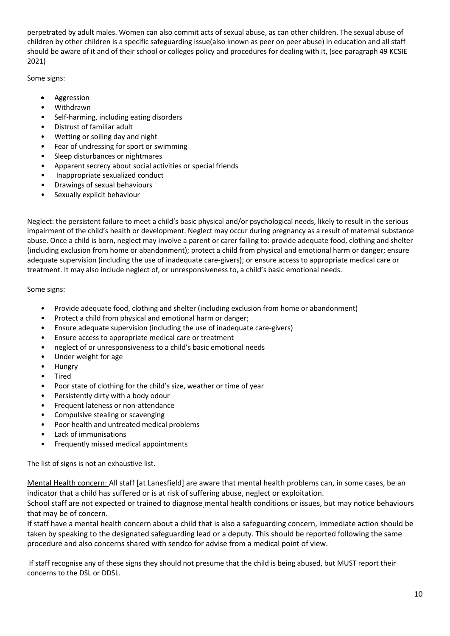perpetrated by adult males. Women can also commit acts of sexual abuse, as can other children. The sexual abuse of children by other children is a specific safeguarding issue(also known as peer on peer abuse) in education and all staff should be aware of it and of their school or colleges policy and procedures for dealing with it, (see paragraph 49 KCSIE 2021)

Some signs:

- **Aggression**
- Withdrawn
- Self-harming, including eating disorders
- Distrust of familiar adult
- Wetting or soiling day and night
- Fear of undressing for sport or swimming
- Sleep disturbances or nightmares
- Apparent secrecy about social activities or special friends
- Inappropriate sexualized conduct
- Drawings of sexual behaviours
- Sexually explicit behaviour

Neglect: the persistent failure to meet a child's basic physical and/or psychological needs, likely to result in the serious impairment of the child's health or development. Neglect may occur during pregnancy as a result of maternal substance abuse. Once a child is born, neglect may involve a parent or carer failing to: provide adequate food, clothing and shelter (including exclusion from home or abandonment); protect a child from physical and emotional harm or danger; ensure adequate supervision (including the use of inadequate care-givers); or ensure access to appropriate medical care or treatment. It may also include neglect of, or unresponsiveness to, a child's basic emotional needs.

Some signs:

- Provide adequate food, clothing and shelter (including exclusion from home or abandonment)
- Protect a child from physical and emotional harm or danger;
- Ensure adequate supervision (including the use of inadequate care-givers)
- Ensure access to appropriate medical care or treatment
- neglect of or unresponsiveness to a child's basic emotional needs
- Under weight for age
- Hungry
- Tired
- Poor state of clothing for the child's size, weather or time of year
- Persistently dirty with a body odour
- Frequent lateness or non-attendance
- Compulsive stealing or scavenging
- Poor health and untreated medical problems
- Lack of immunisations
- Frequently missed medical appointments

The list of signs is not an exhaustive list.

Mental Health concern: All staff [at Lanesfield] are aware that mental health problems can, in some cases, be an indicator that a child has suffered or is at risk of suffering abuse, neglect or exploitation.

School staff are not expected or trained to diagnose mental health conditions or issues, but may notice behaviours that may be of concern.

If staff have a mental health concern about a child that is also a safeguarding concern, immediate action should be taken by speaking to the designated safeguarding lead or a deputy. This should be reported following the same procedure and also concerns shared with sendco for advise from a medical point of view.

If staff recognise any of these signs they should not presume that the child is being abused, but MUST report their concerns to the DSL or DDSL.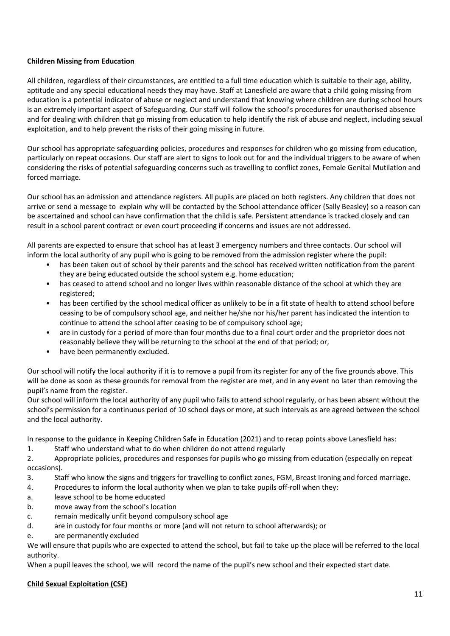## **Children Missing from Education**

All children, regardless of their circumstances, are entitled to a full time education which is suitable to their age, ability, aptitude and any special educational needs they may have. Staff at Lanesfield are aware that a child going missing from education is a potential indicator of abuse or neglect and understand that knowing where children are during school hours is an extremely important aspect of Safeguarding. Our staff will follow the school's procedures for unauthorised absence and for dealing with children that go missing from education to help identify the risk of abuse and neglect, including sexual exploitation, and to help prevent the risks of their going missing in future.

Our school has appropriate safeguarding policies, procedures and responses for children who go missing from education, particularly on repeat occasions. Our staff are alert to signs to look out for and the individual triggers to be aware of when considering the risks of potential safeguarding concerns such as travelling to conflict zones, Female Genital Mutilation and forced marriage.

Our school has an admission and attendance registers. All pupils are placed on both registers. Any children that does not arrive or send a message to explain why will be contacted by the School attendance officer (Sally Beasley) so a reason can be ascertained and school can have confirmation that the child is safe. Persistent attendance is tracked closely and can result in a school parent contract or even court proceeding if concerns and issues are not addressed.

All parents are expected to ensure that school has at least 3 emergency numbers and three contacts. Our school will inform the local authority of any pupil who is going to be removed from the admission register where the pupil:

- has been taken out of school by their parents and the school has received written notification from the parent they are being educated outside the school system e.g. home education;
- has ceased to attend school and no longer lives within reasonable distance of the school at which they are registered;
- has been certified by the school medical officer as unlikely to be in a fit state of health to attend school before ceasing to be of compulsory school age, and neither he/she nor his/her parent has indicated the intention to continue to attend the school after ceasing to be of compulsory school age;
- are in custody for a period of more than four months due to a final court order and the proprietor does not reasonably believe they will be returning to the school at the end of that period; or,
- have been permanently excluded.

Our school will notify the local authority if it is to remove a pupil from its register for any of the five grounds above. This will be done as soon as these grounds for removal from the register are met, and in any event no later than removing the pupil's name from the register.

Our school will inform the local authority of any pupil who fails to attend school regularly, or has been absent without the school's permission for a continuous period of 10 school days or more, at such intervals as are agreed between the school and the local authority.

In response to the guidance in Keeping Children Safe in Education (2021) and to recap points above Lanesfield has:

1. Staff who understand what to do when children do not attend regularly

2. Appropriate policies, procedures and responses for pupils who go missing from education (especially on repeat occasions).

- 3. Staff who know the signs and triggers for travelling to conflict zones, FGM, Breast Ironing and forced marriage.
- 4. Procedures to inform the local authority when we plan to take pupils off-roll when they:
- a. leave school to be home educated
- b. move away from the school's location
- c. remain medically unfit beyond compulsory school age
- d. are in custody for four months or more (and will not return to school afterwards); or
- e. are permanently excluded

We will ensure that pupils who are expected to attend the school, but fail to take up the place will be referred to the local authority.

When a pupil leaves the school, we will record the name of the pupil's new school and their expected start date.

#### **Child Sexual Exploitation (CSE)**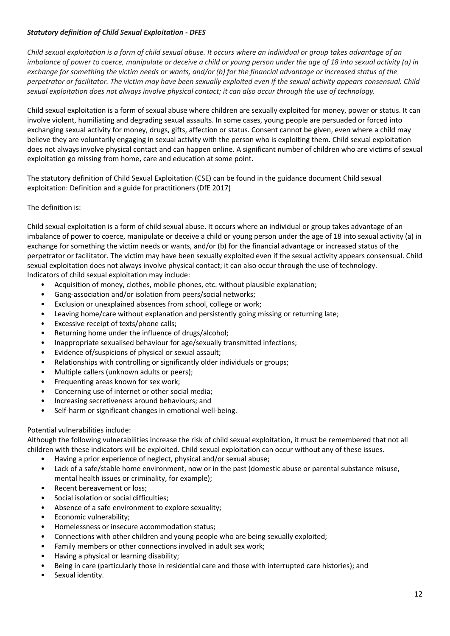## *Statutory definition of Child Sexual Exploitation - DFES*

*Child sexual exploitation is a form of child sexual abuse. It occurs where an individual or group takes advantage of an imbalance of power to coerce, manipulate or deceive a child or young person under the age of 18 into sexual activity (a) in exchange for something the victim needs or wants, and/or (b) for the financial advantage or increased status of the perpetrator or facilitator. The victim may have been sexually exploited even if the sexual activity appears consensual. Child sexual exploitation does not always involve physical contact; it can also occur through the use of technology.*

Child sexual exploitation is a form of sexual abuse where children are sexually exploited for money, power or status. It can involve violent, humiliating and degrading sexual assaults. In some cases, young people are persuaded or forced into exchanging sexual activity for money, drugs, gifts, affection or status. Consent cannot be given, even where a child may believe they are voluntarily engaging in sexual activity with the person who is exploiting them. Child sexual exploitation does not always involve physical contact and can happen online. A significant number of children who are victims of sexual exploitation go missing from home, care and education at some point.

The statutory definition of Child Sexual Exploitation (CSE) can be found in the guidance document Child sexual exploitation: Definition and a guide for practitioners (DfE 2017)

## The definition is:

Child sexual exploitation is a form of child sexual abuse. It occurs where an individual or group takes advantage of an imbalance of power to coerce, manipulate or deceive a child or young person under the age of 18 into sexual activity (a) in exchange for something the victim needs or wants, and/or (b) for the financial advantage or increased status of the perpetrator or facilitator. The victim may have been sexually exploited even if the sexual activity appears consensual. Child sexual exploitation does not always involve physical contact; it can also occur through the use of technology. Indicators of child sexual exploitation may include:

- Acquisition of money, clothes, mobile phones, etc. without plausible explanation;
- Gang-association and/or isolation from peers/social networks;
- Exclusion or unexplained absences from school, college or work;
- Leaving home/care without explanation and persistently going missing or returning late;
- Excessive receipt of texts/phone calls;
- Returning home under the influence of drugs/alcohol;
- Inappropriate sexualised behaviour for age/sexually transmitted infections;
- Evidence of/suspicions of physical or sexual assault;
- Relationships with controlling or significantly older individuals or groups;
- Multiple callers (unknown adults or peers);
- Frequenting areas known for sex work;
- Concerning use of internet or other social media;
- Increasing secretiveness around behaviours; and
- Self-harm or significant changes in emotional well-being.

#### Potential vulnerabilities include:

Although the following vulnerabilities increase the risk of child sexual exploitation, it must be remembered that not all children with these indicators will be exploited. Child sexual exploitation can occur without any of these issues.

- Having a prior experience of neglect, physical and/or sexual abuse;
- Lack of a safe/stable home environment, now or in the past (domestic abuse or parental substance misuse, mental health issues or criminality, for example);
- Recent bereavement or loss;
- Social isolation or social difficulties;
- Absence of a safe environment to explore sexuality;
- Economic vulnerability;
- Homelessness or insecure accommodation status;
- Connections with other children and young people who are being sexually exploited;
- Family members or other connections involved in adult sex work;
- Having a physical or learning disability;
- Being in care (particularly those in residential care and those with interrupted care histories); and
- Sexual identity.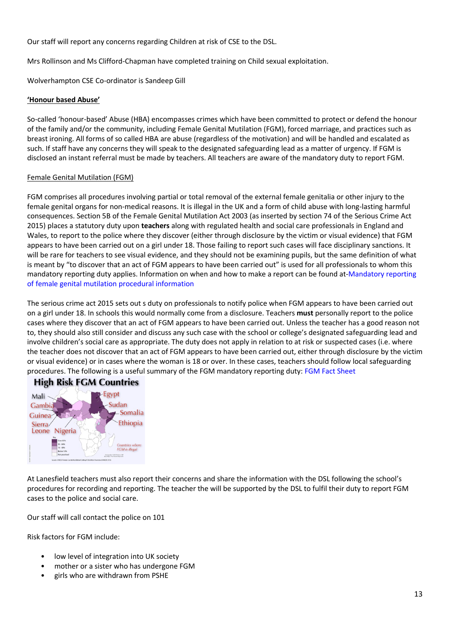Our staff will report any concerns regarding Children at risk of CSE to the DSL.

Mrs Rollinson and Ms Clifford-Chapman have completed training on Child sexual exploitation.

Wolverhampton CSE Co-ordinator is Sandeep Gill

#### **'Honour based Abuse'**

So-called 'honour-based' Abuse (HBA) encompasses crimes which have been committed to protect or defend the honour of the family and/or the community, including Female Genital Mutilation (FGM), forced marriage, and practices such as breast ironing. All forms of so called HBA are abuse (regardless of the motivation) and will be handled and escalated as such. If staff have any concerns they will speak to the designated safeguarding lead as a matter of urgency. If FGM is disclosed an instant referral must be made by teachers. All teachers are aware of the mandatory duty to report FGM.

#### Female Genital Mutilation (FGM)

FGM comprises all procedures involving partial or total removal of the external female genitalia or other injury to the female genital organs for non-medical reasons. It is illegal in the UK and a form of child abuse with long-lasting harmful consequences. Section 5B of the Female Genital Mutilation Act 2003 (as inserted by section 74 of the Serious Crime Act 2015) places a statutory duty upon **teachers** along with regulated health and social care professionals in England and Wales, to report to the police where they discover (either through disclosure by the victim or visual evidence) that FGM appears to have been carried out on a girl under 18. Those failing to report such cases will face disciplinary sanctions. It will be rare for teachers to see visual evidence, and they should not be examining pupils, but the same definition of what is meant by "to discover that an act of FGM appears to have been carried out" is used for all professionals to whom this mandatory reporting duty applies. Information on when and how to make a report can be found at-Mandatory reporting of female genital mutilation procedural information

The serious crime act 2015 sets out s duty on professionals to notify police when FGM appears to have been carried out on a girl under 18. In schools this would normally come from a disclosure. Teachers **must** personally report to the police cases where they discover that an act of FGM appears to have been carried out. Unless the teacher has a good reason not to, they should also still consider and discuss any such case with the school or college's designated safeguarding lead and involve children's social care as appropriate. The duty does not apply in relation to at risk or suspected cases (i.e. where the teacher does not discover that an act of FGM appears to have been carried out, either through disclosure by the victim or visual evidence) or in cases where the woman is 18 or over. In these cases, teachers should follow local safeguarding procedures. The following is a useful summary of the FGM mandatory reporting duty: FGM Fact Sheet



At Lanesfield teachers must also report their concerns and share the information with the DSL following the school's procedures for recording and reporting. The teacher the will be supported by the DSL to fulfil their duty to report FGM cases to the police and social care.

Our staff will call contact the police on 101

Risk factors for FGM include:

- low level of integration into UK society
- mother or a sister who has undergone FGM
- girls who are withdrawn from PSHE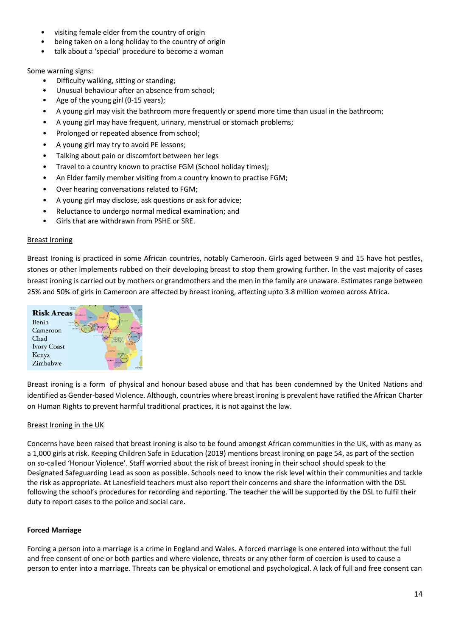- visiting female elder from the country of origin
- being taken on a long holiday to the country of origin
- talk about a 'special' procedure to become a woman

Some warning signs:

- Difficulty walking, sitting or standing;
- Unusual behaviour after an absence from school;
- Age of the young girl (0-15 years);
- A young girl may visit the bathroom more frequently or spend more time than usual in the bathroom;
- A young girl may have frequent, urinary, menstrual or stomach problems;
- Prolonged or repeated absence from school;
- A young girl may try to avoid PE lessons;
- Talking about pain or discomfort between her legs
- Travel to a country known to practise FGM (School holiday times);
- An Elder family member visiting from a country known to practise FGM;
- Over hearing conversations related to FGM;
- A young girl may disclose, ask questions or ask for advice;
- Reluctance to undergo normal medical examination; and
- Girls that are withdrawn from PSHE or SRE.

#### Breast Ironing

Breast Ironing is practiced in some African countries, notably Cameroon. Girls aged between 9 and 15 have hot pestles, stones or other implements rubbed on their developing breast to stop them growing further. In the vast majority of cases breast ironing is carried out by mothers or grandmothers and the men in the family are unaware. Estimates range between 25% and 50% of girls in Cameroon are affected by breast ironing, affecting upto 3.8 million women across Africa.



Breast ironing is a form of physical and honour based abuse and that has been condemned by the United Nations and identified as Gender-based Violence. Although, countries where breast ironing is prevalent have ratified the African Charter on Human Rights to prevent harmful traditional practices, it is not against the law.

#### Breast Ironing in the UK

Concerns have been raised that breast ironing is also to be found amongst African communities in the UK, with as many as a 1,000 girls at risk. Keeping Children Safe in Education (2019) mentions breast ironing on page 54, as part of the section on so-called 'Honour Violence'. Staff worried about the risk of breast ironing in their school should speak to the Designated Safeguarding Lead as soon as possible. Schools need to know the risk level within their communities and tackle the risk as appropriate. At Lanesfield teachers must also report their concerns and share the information with the DSL following the school's procedures for recording and reporting. The teacher the will be supported by the DSL to fulfil their duty to report cases to the police and social care.

#### **Forced Marriage**

Forcing a person into a marriage is a crime in England and Wales. A forced marriage is one entered into without the full and free consent of one or both parties and where violence, threats or any other form of coercion is used to cause a person to enter into a marriage. Threats can be physical or emotional and psychological. A lack of full and free consent can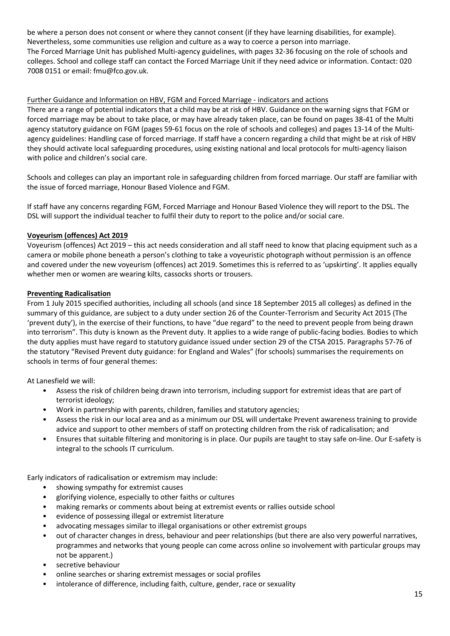be where a person does not consent or where they cannot consent (if they have learning disabilities, for example). Nevertheless, some communities use religion and culture as a way to coerce a person into marriage. The Forced Marriage Unit has published Multi-agency guidelines, with pages 32-36 focusing on the role of schools and colleges. School and college staff can contact the Forced Marriage Unit if they need advice or information. Contact: 020 7008 0151 or email: fmu@fco.gov.uk.

## Further Guidance and Information on HBV, FGM and Forced Marriage - indicators and actions

There are a range of potential indicators that a child may be at risk of HBV. Guidance on the warning signs that FGM or forced marriage may be about to take place, or may have already taken place, can be found on pages 38-41 of the Multi agency statutory guidance on FGM (pages 59-61 focus on the role of schools and colleges) and pages 13-14 of the Multiagency guidelines: Handling case of forced marriage. If staff have a concern regarding a child that might be at risk of HBV they should activate local safeguarding procedures, using existing national and local protocols for multi-agency liaison with police and children's social care.

Schools and colleges can play an important role in safeguarding children from forced marriage. Our staff are familiar with the issue of forced marriage, Honour Based Violence and FGM.

If staff have any concerns regarding FGM, Forced Marriage and Honour Based Violence they will report to the DSL. The DSL will support the individual teacher to fulfil their duty to report to the police and/or social care.

## **Voyeurism (offences) Act 2019**

Voyeurism (offences) Act 2019 – this act needs consideration and all staff need to know that placing equipment such as a camera or mobile phone beneath a person's clothing to take a voyeuristic photograph without permission is an offence and covered under the new voyeurism (offences) act 2019. Sometimes this is referred to as 'upskirting'. It applies equally whether men or women are wearing kilts, cassocks shorts or trousers.

## **Preventing Radicalisation**

From 1 July 2015 specified authorities, including all schools (and since 18 September 2015 all colleges) as defined in the summary of this guidance, are subject to a duty under section 26 of the Counter-Terrorism and Security Act 2015 (The 'prevent duty'), in the exercise of their functions, to have "due regard" to the need to prevent people from being drawn into terrorism". This duty is known as the Prevent duty. It applies to a wide range of public-facing bodies. Bodies to which the duty applies must have regard to statutory guidance issued under section 29 of the CTSA 2015. Paragraphs 57-76 of the statutory "Revised Prevent duty guidance: for England and Wales" (for schools) summarises the requirements on schools in terms of four general themes:

At Lanesfield we will:

- Assess the risk of children being drawn into terrorism, including support for extremist ideas that are part of terrorist ideology;
- Work in partnership with parents, children, families and statutory agencies;
- Assess the risk in our local area and as a minimum our DSL will undertake Prevent awareness training to provide advice and support to other members of staff on protecting children from the risk of radicalisation; and
- Ensures that suitable filtering and monitoring is in place. Our pupils are taught to stay safe on-line. Our E-safety is integral to the schools IT curriculum.

Early indicators of radicalisation or extremism may include:

- showing sympathy for extremist causes
- glorifying violence, especially to other faiths or cultures
- making remarks or comments about being at extremist events or rallies outside school
- evidence of possessing illegal or extremist literature
- advocating messages similar to illegal organisations or other extremist groups
- out of character changes in dress, behaviour and peer relationships (but there are also very powerful narratives, programmes and networks that young people can come across online so involvement with particular groups may not be apparent.)
- secretive behaviour
- online searches or sharing extremist messages or social profiles
- intolerance of difference, including faith, culture, gender, race or sexuality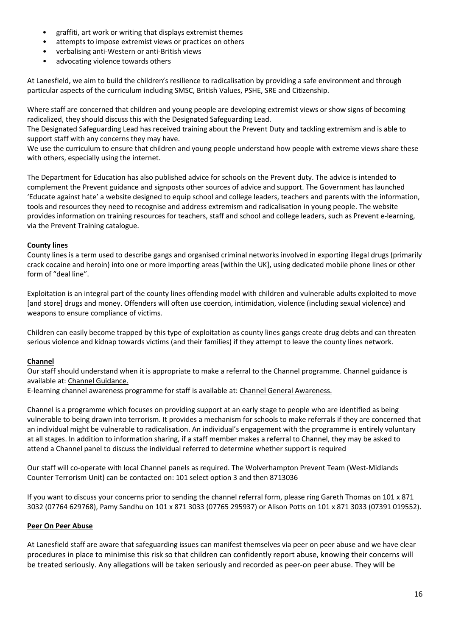- graffiti, art work or writing that displays extremist themes
- attempts to impose extremist views or practices on others
- verbalising anti-Western or anti-British views
- advocating violence towards others

At Lanesfield, we aim to build the children's resilience to radicalisation by providing a safe environment and through particular aspects of the curriculum including SMSC, British Values, PSHE, SRE and Citizenship.

Where staff are concerned that children and young people are developing extremist views or show signs of becoming radicalized, they should discuss this with the Designated Safeguarding Lead.

The Designated Safeguarding Lead has received training about the Prevent Duty and tackling extremism and is able to support staff with any concerns they may have.

We use the curriculum to ensure that children and young people understand how people with extreme views share these with others, especially using the internet.

The Department for Education has also published advice for schools on the Prevent duty. The advice is intended to complement the Prevent guidance and signposts other sources of advice and support. The Government has launched 'Educate against hate' a website designed to equip school and college leaders, teachers and parents with the information, tools and resources they need to recognise and address extremism and radicalisation in young people. The website provides information on training resources for teachers, staff and school and college leaders, such as Prevent e-learning, via the Prevent Training catalogue.

# **County lines**

County lines is a term used to describe gangs and organised criminal networks involved in exporting illegal drugs (primarily crack cocaine and heroin) into one or more importing areas [within the UK], using dedicated mobile phone lines or other form of "deal line".

Exploitation is an integral part of the county lines offending model with children and vulnerable adults exploited to move [and store] drugs and money. Offenders will often use coercion, intimidation, violence (including sexual violence) and weapons to ensure compliance of victims.

Children can easily become trapped by this type of exploitation as county lines gangs create drug debts and can threaten serious violence and kidnap towards victims (and their families) if they attempt to leave the county lines network.

# **Channel**

Our staff should understand when it is appropriate to make a referral to the Channel programme. Channel guidance is available at: Channel Guidance.

E-learning channel awareness programme for staff is available at: Channel General Awareness.

Channel is a programme which focuses on providing support at an early stage to people who are identified as being vulnerable to being drawn into terrorism. It provides a mechanism for schools to make referrals if they are concerned that an individual might be vulnerable to radicalisation. An individual's engagement with the programme is entirely voluntary at all stages. In addition to information sharing, if a staff member makes a referral to Channel, they may be asked to attend a Channel panel to discuss the individual referred to determine whether support is required

Our staff will co-operate with local Channel panels as required. The Wolverhampton Prevent Team (West-Midlands Counter Terrorism Unit) can be contacted on: 101 select option 3 and then 8713036

If you want to discuss your concerns prior to sending the channel referral form, please ring Gareth Thomas on 101 x 871 3032 (07764 629768), Pamy Sandhu on 101 x 871 3033 (07765 295937) or Alison Potts on 101 x 871 3033 (07391 019552).

# **Peer On Peer Abuse**

At Lanesfield staff are aware that safeguarding issues can manifest themselves via peer on peer abuse and we have clear procedures in place to minimise this risk so that children can confidently report abuse, knowing their concerns will be treated seriously. Any allegations will be taken seriously and recorded as peer-on peer abuse. They will be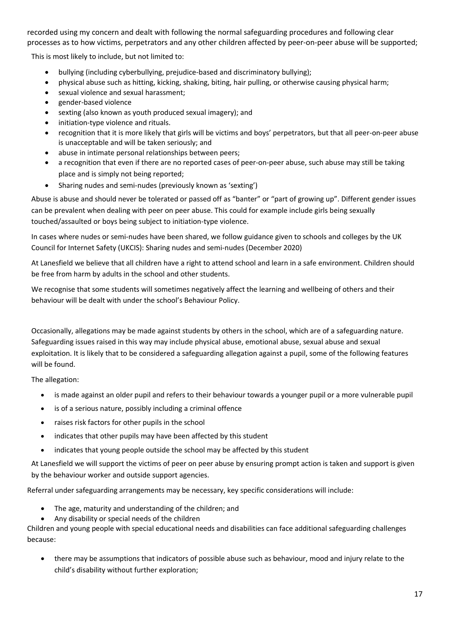recorded using my concern and dealt with following the normal safeguarding procedures and following clear processes as to how victims, perpetrators and any other children affected by peer-on-peer abuse will be supported;

This is most likely to include, but not limited to:

- bullying (including cyberbullying, prejudice-based and discriminatory bullying);
- physical abuse such as hitting, kicking, shaking, biting, hair pulling, or otherwise causing physical harm;
- sexual violence and sexual harassment;
- gender-based violence
- sexting (also known as youth produced sexual imagery); and
- initiation-type violence and rituals.
- recognition that it is more likely that girls will be victims and boys' perpetrators, but that all peer-on-peer abuse is unacceptable and will be taken seriously; and
- abuse in intimate personal relationships between peers;
- a recognition that even if there are no reported cases of peer-on-peer abuse, such abuse may still be taking place and is simply not being reported;
- Sharing nudes and semi-nudes (previously known as 'sexting')

Abuse is abuse and should never be tolerated or passed off as "banter" or "part of growing up". Different gender issues can be prevalent when dealing with peer on peer abuse. This could for example include girls being sexually touched/assaulted or boys being subject to initiation-type violence.

In cases where nudes or semi-nudes have been shared, we follow guidance given to schools and colleges by the UK Council for Internet Safety (UKCIS): Sharing nudes and semi-nudes (December 2020)

At Lanesfield we believe that all children have a right to attend school and learn in a safe environment. Children should be free from harm by adults in the school and other students.

We recognise that some students will sometimes negatively affect the learning and wellbeing of others and their behaviour will be dealt with under the school's Behaviour Policy.

Occasionally, allegations may be made against students by others in the school, which are of a safeguarding nature. Safeguarding issues raised in this way may include physical abuse, emotional abuse, sexual abuse and sexual exploitation. It is likely that to be considered a safeguarding allegation against a pupil, some of the following features will be found.

The allegation:

- is made against an older pupil and refers to their behaviour towards a younger pupil or a more vulnerable pupil
- is of a serious nature, possibly including a criminal offence
- raises risk factors for other pupils in the school
- indicates that other pupils may have been affected by this student
- indicates that young people outside the school may be affected by this student

At Lanesfield we will support the victims of peer on peer abuse by ensuring prompt action is taken and support is given by the behaviour worker and outside support agencies.

Referral under safeguarding arrangements may be necessary, key specific considerations will include:

- The age, maturity and understanding of the children; and
- Any disability or special needs of the children

Children and young people with special educational needs and disabilities can face additional safeguarding challenges because:

• there may be assumptions that indicators of possible abuse such as behaviour, mood and injury relate to the child's disability without further exploration;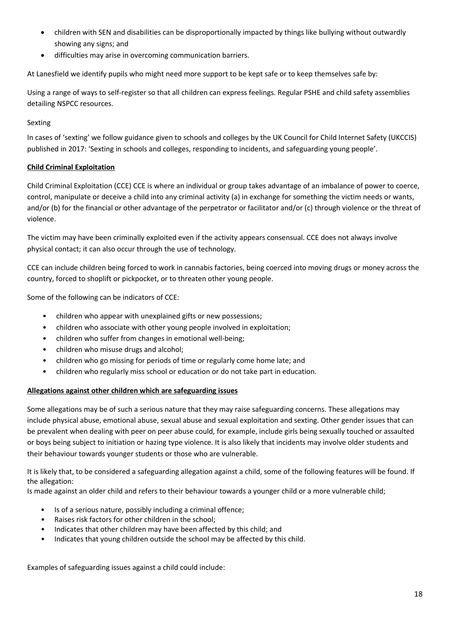- children with SEN and disabilities can be disproportionally impacted by things like bullying without outwardly showing any signs; and
- difficulties may arise in overcoming communication barriers.

At Lanesfield we identify pupils who might need more support to be kept safe or to keep themselves safe by:

Using a range of ways to self-register so that all children can express feelings. Regular PSHE and child safety assemblies detailing NSPCC resources.

# Sexting

In cases of 'sexting' we follow guidance given to schools and colleges by the UK Council for Child Internet Safety (UKCCIS) published in 2017: 'Sexting in schools and colleges, responding to incidents, and safeguarding young people'.

# **Child Criminal Exploitation**

Child Criminal Exploitation (CCE) CCE is where an individual or group takes advantage of an imbalance of power to coerce, control, manipulate or deceive a child into any criminal activity (a) in exchange for something the victim needs or wants, and/or (b) for the financial or other advantage of the perpetrator or facilitator and/or (c) through violence or the threat of violence.

The victim may have been criminally exploited even if the activity appears consensual. CCE does not always involve physical contact; it can also occur through the use of technology.

CCE can include children being forced to work in cannabis factories, being coerced into moving drugs or money across the country, forced to shoplift or pickpocket, or to threaten other young people.

Some of the following can be indicators of CCE:

- children who appear with unexplained gifts or new possessions;
- children who associate with other young people involved in exploitation;
- children who suffer from changes in emotional well-being;
- children who misuse drugs and alcohol;
- children who go missing for periods of time or regularly come home late; and
- children who regularly miss school or education or do not take part in education.

# **Allegations against other children which are safeguarding issues**

Some allegations may be of such a serious nature that they may raise safeguarding concerns. These allegations may include physical abuse, emotional abuse, sexual abuse and sexual exploitation and sexting. Other gender issues that can be prevalent when dealing with peer on peer abuse could, for example, include girls being sexually touched or assaulted or boys being subject to initiation or hazing type violence. It is also likely that incidents may involve older students and their behaviour towards younger students or those who are vulnerable.

It is likely that, to be considered a safeguarding allegation against a child, some of the following features will be found. If the allegation:

Is made against an older child and refers to their behaviour towards a younger child or a more vulnerable child;

- Is of a serious nature, possibly including a criminal offence;
- Raises risk factors for other children in the school;
- Indicates that other children may have been affected by this child; and
- Indicates that young children outside the school may be affected by this child.

Examples of safeguarding issues against a child could include: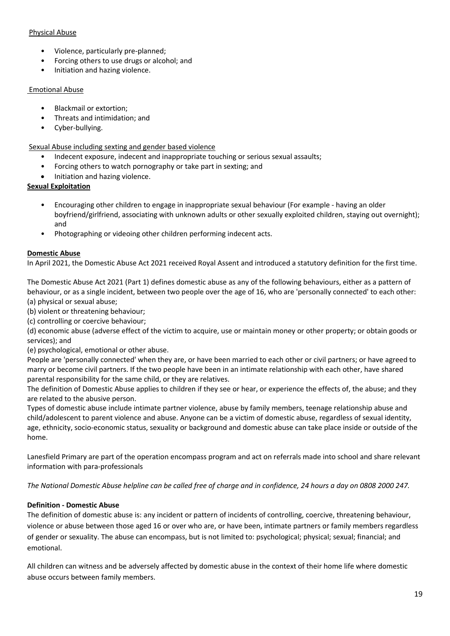## Physical Abuse

- Violence, particularly pre-planned;
- Forcing others to use drugs or alcohol; and
- Initiation and hazing violence.

#### Emotional Abuse

- Blackmail or extortion;
- Threats and intimidation; and
- Cyber-bullying.

#### Sexual Abuse including sexting and gender based violence

- Indecent exposure, indecent and inappropriate touching or serious sexual assaults;
- Forcing others to watch pornography or take part in sexting; and
- Initiation and hazing violence.

## **Sexual Exploitation**

- Encouraging other children to engage in inappropriate sexual behaviour (For example having an older boyfriend/girlfriend, associating with unknown adults or other sexually exploited children, staying out overnight); and
- Photographing or videoing other children performing indecent acts.

## **Domestic Abuse**

In April 2021, the Domestic Abuse Act 2021 received Royal Assent and introduced a statutory definition for the first time.

The Domestic Abuse Act 2021 (Part 1) defines domestic abuse as any of the following behaviours, either as a pattern of behaviour, or as a single incident, between two people over the age of 16, who are 'personally connected' to each other: (a) physical or sexual abuse;

(b) violent or threatening behaviour;

(c) controlling or coercive behaviour;

(d) economic abuse (adverse effect of the victim to acquire, use or maintain money or other property; or obtain goods or services); and

(e) psychological, emotional or other abuse.

People are 'personally connected' when they are, or have been married to each other or civil partners; or have agreed to marry or become civil partners. If the two people have been in an intimate relationship with each other, have shared parental responsibility for the same child, or they are relatives.

The definition of Domestic Abuse applies to children if they see or hear, or experience the effects of, the abuse; and they are related to the abusive person.

Types of domestic abuse include intimate partner violence, abuse by family members, teenage relationship abuse and child/adolescent to parent violence and abuse. Anyone can be a victim of domestic abuse, regardless of sexual identity, age, ethnicity, socio-economic status, sexuality or background and domestic abuse can take place inside or outside of the home.

Lanesfield Primary are part of the operation encompass program and act on referrals made into school and share relevant information with para-professionals

*The National Domestic Abuse helpline can be called free of charge and in confidence, 24 hours a day on 0808 2000 247.*

# **Definition - Domestic Abuse**

The definition of domestic abuse is: any incident or pattern of incidents of controlling, coercive, threatening behaviour, violence or abuse between those aged 16 or over who are, or have been, intimate partners or family members regardless of gender or sexuality. The abuse can encompass, but is not limited to: psychological; physical; sexual; financial; and emotional.

All children can witness and be adversely affected by domestic abuse in the context of their home life where domestic abuse occurs between family members.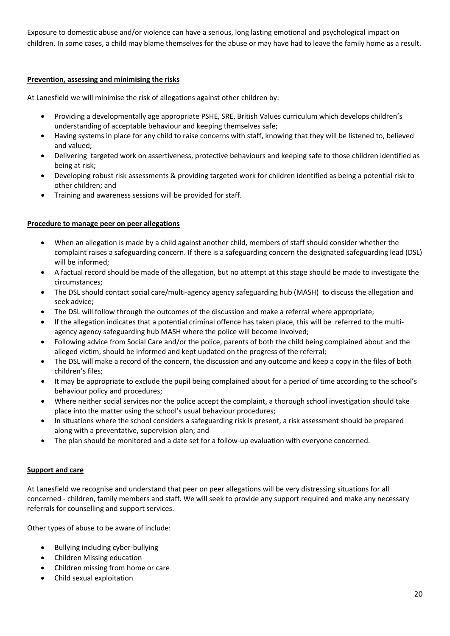Exposure to domestic abuse and/or violence can have a serious, long lasting emotional and psychological impact on children. In some cases, a child may blame themselves for the abuse or may have had to leave the family home as a result.

#### **Prevention, assessing and minimising the risks**

At Lanesfield we will minimise the risk of allegations against other children by:

- Providing a developmentally age appropriate PSHE, SRE, British Values curriculum which develops children's understanding of acceptable behaviour and keeping themselves safe;
- Having systems in place for any child to raise concerns with staff, knowing that they will be listened to, believed and valued;
- Delivering targeted work on assertiveness, protective behaviours and keeping safe to those children identified as being at risk;
- Developing robust risk assessments & providing targeted work for children identified as being a potential risk to other children; and
- Training and awareness sessions will be provided for staff.

## **Procedure to manage peer on peer allegations**

- When an allegation is made by a child against another child, members of staff should consider whether the complaint raises a safeguarding concern. If there is a safeguarding concern the designated safeguarding lead (DSL) will be informed;
- A factual record should be made of the allegation, but no attempt at this stage should be made to investigate the circumstances;
- The DSL should contact social care/multi-agency agency safeguarding hub (MASH) to discuss the allegation and seek advice;
- The DSL will follow through the outcomes of the discussion and make a referral where appropriate;
- If the allegation indicates that a potential criminal offence has taken place, this will be referred to the multiagency agency safeguarding hub MASH where the police will become involved;
- Following advice from Social Care and/or the police, parents of both the child being complained about and the alleged victim, should be informed and kept updated on the progress of the referral;
- The DSL will make a record of the concern, the discussion and any outcome and keep a copy in the files of both children's files;
- It may be appropriate to exclude the pupil being complained about for a period of time according to the school's behaviour policy and procedures;
- Where neither social services nor the police accept the complaint, a thorough school investigation should take place into the matter using the school's usual behaviour procedures;
- In situations where the school considers a safeguarding risk is present, a risk assessment should be prepared along with a preventative, supervision plan; and
- The plan should be monitored and a date set for a follow-up evaluation with everyone concerned.

#### **Support and care**

At Lanesfield we recognise and understand that peer on peer allegations will be very distressing situations for all concerned - children, family members and staff. We will seek to provide any support required and make any necessary referrals for counselling and support services.

Other types of abuse to be aware of include:

- Bullying including cyber-bullying
- Children Missing education
- Children missing from home or care
- Child sexual exploitation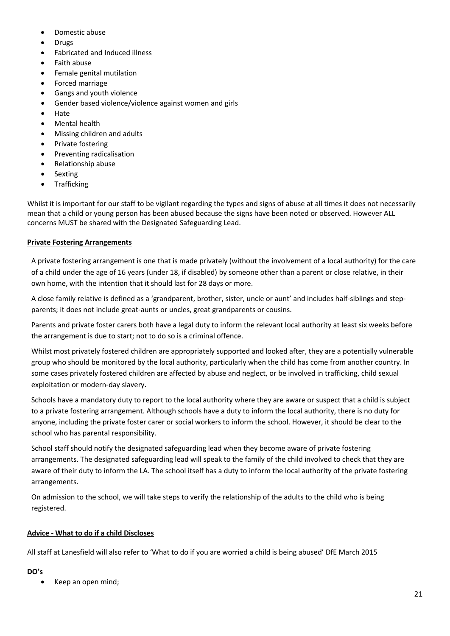- Domestic abuse
- Drugs
- Fabricated and Induced illness
- Faith abuse
- Female genital mutilation
- Forced marriage
- Gangs and youth violence
- Gender based violence/violence against women and girls
- Hate
- Mental health
- Missing children and adults
- Private fostering
- Preventing radicalisation
- Relationship abuse
- **Sexting**
- **Trafficking**

Whilst it is important for our staff to be vigilant regarding the types and signs of abuse at all times it does not necessarily mean that a child or young person has been abused because the signs have been noted or observed. However ALL concerns MUST be shared with the Designated Safeguarding Lead.

# **Private Fostering Arrangements**

A private fostering arrangement is one that is made privately (without the involvement of a local authority) for the care of a child under the age of 16 years (under 18, if disabled) by someone other than a parent or close relative, in their own home, with the intention that it should last for 28 days or more.

A close family relative is defined as a 'grandparent, brother, sister, uncle or aunt' and includes half-siblings and stepparents; it does not include great-aunts or uncles, great grandparents or cousins.

Parents and private foster carers both have a legal duty to inform the relevant local authority at least six weeks before the arrangement is due to start; not to do so is a criminal offence.

Whilst most privately fostered children are appropriately supported and looked after, they are a potentially vulnerable group who should be monitored by the local authority, particularly when the child has come from another country. In some cases privately fostered children are affected by abuse and neglect, or be involved in trafficking, child sexual exploitation or modern-day slavery.

Schools have a mandatory duty to report to the local authority where they are aware or suspect that a child is subject to a private fostering arrangement. Although schools have a duty to inform the local authority, there is no duty for anyone, including the private foster carer or social workers to inform the school. However, it should be clear to the school who has parental responsibility.

School staff should notify the designated safeguarding lead when they become aware of private fostering arrangements. The designated safeguarding lead will speak to the family of the child involved to check that they are aware of their duty to inform the LA. The school itself has a duty to inform the local authority of the private fostering arrangements.

On admission to the school, we will take steps to verify the relationship of the adults to the child who is being registered.

# **Advice - What to do if a child Discloses**

All staff at Lanesfield will also refer to 'What to do if you are worried a child is being abused' DfE March 2015

# **DO's**

• Keep an open mind;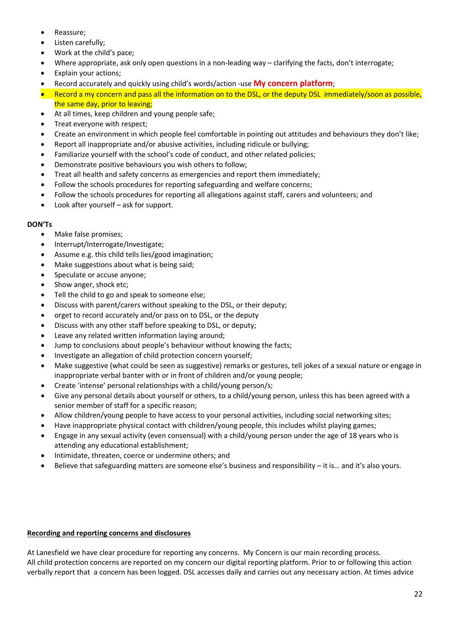- Reassure;
- Listen carefully;
- Work at the child's pace;
- Where appropriate, ask only open questions in a non-leading way clarifying the facts, don't interrogate;
- Explain your actions:
- Record accurately and quickly using child's words/action -use **My concern platform**;
- Record a my concern and pass all the information on to the DSL, or the deputy DSL immediately/soon as possible, the same day, prior to leaving;
- At all times, keep children and young people safe;
- Treat everyone with respect;
- Create an environment in which people feel comfortable in pointing out attitudes and behaviours they don't like;
- Report all inappropriate and/or abusive activities, including ridicule or bullying;
- Familiarize yourself with the school's code of conduct, and other related policies;
- Demonstrate positive behaviours you wish others to follow;
- Treat all health and safety concerns as emergencies and report them immediately;
- Follow the schools procedures for reporting safeguarding and welfare concerns;
- Follow the schools procedures for reporting all allegations against staff, carers and volunteers; and
- Look after yourself ask for support.

# **DON'Ts**

- Make false promises;
- Interrupt/Interrogate/Investigate;
- Assume e.g. this child tells lies/good imagination;
- Make suggestions about what is being said;
- Speculate or accuse anyone;
- Show anger, shock etc;
- Tell the child to go and speak to someone else;
- Discuss with parent/carers without speaking to the DSL, or their deputy;
- orget to record accurately and/or pass on to DSL, or the deputy
- Discuss with any other staff before speaking to DSL, or deputy;
- Leave any related written information laying around;
- Jump to conclusions about people's behaviour without knowing the facts;
- Investigate an allegation of child protection concern yourself;
- Make suggestive (what could be seen as suggestive) remarks or gestures, tell jokes of a sexual nature or engage in inappropriate verbal banter with or in front of children and/or young people;
- Create 'intense' personal relationships with a child/young person/s;
- Give any personal details about yourself or others, to a child/young person, unless this has been agreed with a senior member of staff for a specific reason;
- Allow children/young people to have access to your personal activities, including social networking sites;
- Have inappropriate physical contact with children/young people, this includes whilst playing games;
- Engage in any sexual activity (even consensual) with a child/young person under the age of 18 years who is attending any educational establishment;
- Intimidate, threaten, coerce or undermine others; and
- Believe that safeguarding matters are someone else's business and responsibility it is… and it's also yours.

# **Recording and reporting concerns and disclosures**

At Lanesfield we have clear procedure for reporting any concerns. My Concern is our main recording process. All child protection concerns are reported on my concern our digital reporting platform. Prior to or following this action verbally report that a concern has been logged. DSL accesses daily and carries out any necessary action. At times advice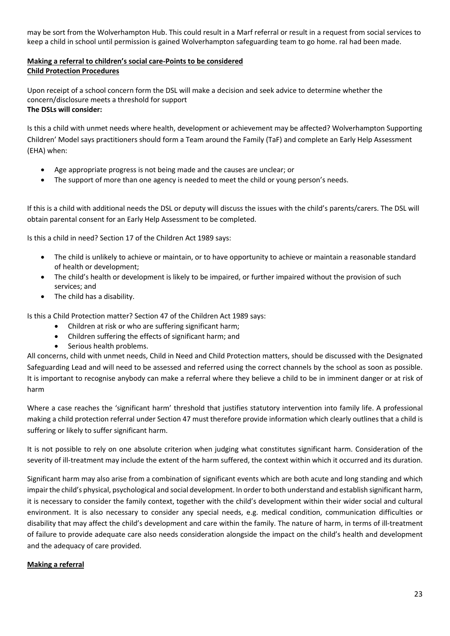may be sort from the Wolverhampton Hub. This could result in a Marf referral or result in a request from social services to keep a child in school until permission is gained Wolverhampton safeguarding team to go home. ral had been made.

# **Making a referral to children's social care-Points to be considered Child Protection Procedures**

Upon receipt of a school concern form the DSL will make a decision and seek advice to determine whether the concern/disclosure meets a threshold for support **The DSLs will consider:**

Is this a child with unmet needs where health, development or achievement may be affected? Wolverhampton Supporting Children' Model says practitioners should form a Team around the Family (TaF) and complete an Early Help Assessment (EHA) when:

- Age appropriate progress is not being made and the causes are unclear; or
- The support of more than one agency is needed to meet the child or young person's needs.

If this is a child with additional needs the DSL or deputy will discuss the issues with the child's parents/carers. The DSL will obtain parental consent for an Early Help Assessment to be completed.

Is this a child in need? Section 17 of the Children Act 1989 says:

- The child is unlikely to achieve or maintain, or to have opportunity to achieve or maintain a reasonable standard of health or development;
- The child's health or development is likely to be impaired, or further impaired without the provision of such services; and
- The child has a disability.

Is this a Child Protection matter? Section 47 of the Children Act 1989 says:

- Children at risk or who are suffering significant harm;
- Children suffering the effects of significant harm; and
- Serious health problems.

All concerns, child with unmet needs, Child in Need and Child Protection matters, should be discussed with the Designated Safeguarding Lead and will need to be assessed and referred using the correct channels by the school as soon as possible. It is important to recognise anybody can make a referral where they believe a child to be in imminent danger or at risk of harm

Where a case reaches the 'significant harm' threshold that justifies statutory intervention into family life. A professional making a child protection referral under Section 47 must therefore provide information which clearly outlines that a child is suffering or likely to suffer significant harm.

It is not possible to rely on one absolute criterion when judging what constitutes significant harm. Consideration of the severity of ill-treatment may include the extent of the harm suffered, the context within which it occurred and its duration.

Significant harm may also arise from a combination of significant events which are both acute and long standing and which impair the child's physical, psychological and social development. In order to both understand and establish significant harm, it is necessary to consider the family context, together with the child's development within their wider social and cultural environment. It is also necessary to consider any special needs, e.g. medical condition, communication difficulties or disability that may affect the child's development and care within the family. The nature of harm, in terms of ill-treatment of failure to provide adequate care also needs consideration alongside the impact on the child's health and development and the adequacy of care provided.

#### **Making a referral**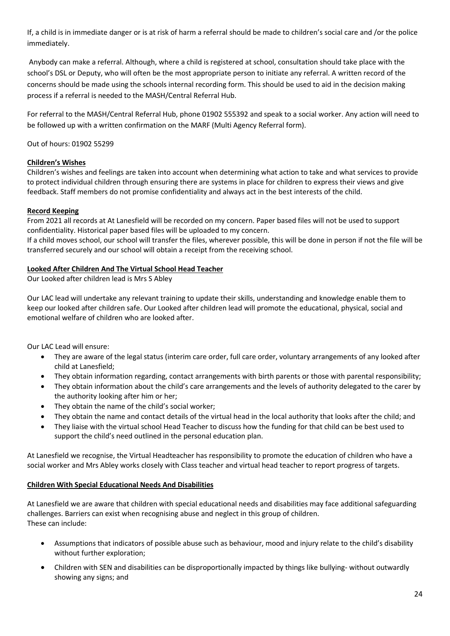If, a child is in immediate danger or is at risk of harm a referral should be made to children's social care and /or the police immediately.

Anybody can make a referral. Although, where a child is registered at school, consultation should take place with the school's DSL or Deputy, who will often be the most appropriate person to initiate any referral. A written record of the concerns should be made using the schools internal recording form. This should be used to aid in the decision making process if a referral is needed to the MASH/Central Referral Hub.

For referral to the MASH/Central Referral Hub, phone 01902 555392 and speak to a social worker. Any action will need to be followed up with a written confirmation on the MARF (Multi Agency Referral form).

Out of hours: 01902 55299

## **Children's Wishes**

Children's wishes and feelings are taken into account when determining what action to take and what services to provide to protect individual children through ensuring there are systems in place for children to express their views and give feedback. Staff members do not promise confidentiality and always act in the best interests of the child.

## **Record Keeping**

From 2021 all records at At Lanesfield will be recorded on my concern. Paper based files will not be used to support confidentiality. Historical paper based files will be uploaded to my concern.

If a child moves school, our school will transfer the files, wherever possible, this will be done in person if not the file will be transferred securely and our school will obtain a receipt from the receiving school.

## **Looked After Children And The Virtual School Head Teacher**

Our Looked after children lead is Mrs S Abley

Our LAC lead will undertake any relevant training to update their skills, understanding and knowledge enable them to keep our looked after children safe. Our Looked after children lead will promote the educational, physical, social and emotional welfare of children who are looked after.

Our LAC Lead will ensure:

- They are aware of the legal status (interim care order, full care order, voluntary arrangements of any looked after child at Lanesfield;
- They obtain information regarding, contact arrangements with birth parents or those with parental responsibility;
- They obtain information about the child's care arrangements and the levels of authority delegated to the carer by the authority looking after him or her;
- They obtain the name of the child's social worker;
- They obtain the name and contact details of the virtual head in the local authority that looks after the child; and
- They liaise with the virtual school Head Teacher to discuss how the funding for that child can be best used to support the child's need outlined in the personal education plan.

At Lanesfield we recognise, the Virtual Headteacher has responsibility to promote the education of children who have a social worker and Mrs Abley works closely with Class teacher and virtual head teacher to report progress of targets.

# **Children With Special Educational Needs And Disabilities**

At Lanesfield we are aware that children with special educational needs and disabilities may face additional safeguarding challenges. Barriers can exist when recognising abuse and neglect in this group of children. These can include:

- Assumptions that indicators of possible abuse such as behaviour, mood and injury relate to the child's disability without further exploration;
- Children with SEN and disabilities can be disproportionally impacted by things like bullying- without outwardly showing any signs; and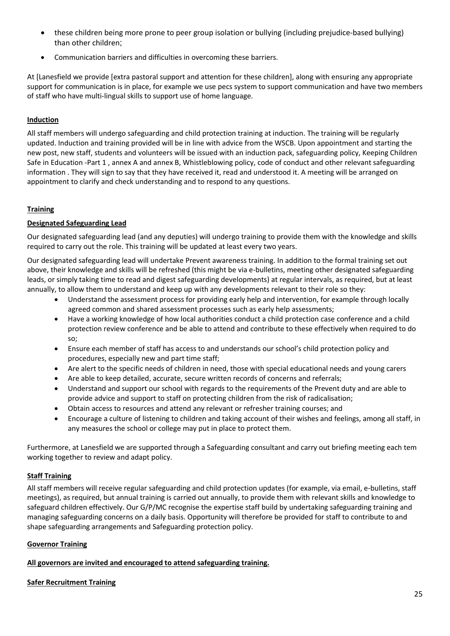- these children being more prone to peer group isolation or bullying (including prejudice-based bullying) than other children;
- Communication barriers and difficulties in overcoming these barriers.

At [Lanesfield we provide [extra pastoral support and attention for these children], along with ensuring any appropriate support for communication is in place, for example we use pecs system to support communication and have two members of staff who have multi-lingual skills to support use of home language.

# **Induction**

All staff members will undergo safeguarding and child protection training at induction. The training will be regularly updated. Induction and training provided will be in line with advice from the WSCB. Upon appointment and starting the new post, new staff, students and volunteers will be issued with an induction pack, safeguarding policy, Keeping Children Safe in Education -Part 1 , annex A and annex B, Whistleblowing policy, code of conduct and other relevant safeguarding information . They will sign to say that they have received it, read and understood it. A meeting will be arranged on appointment to clarify and check understanding and to respond to any questions.

# **Training**

# **Designated Safeguarding Lead**

Our designated safeguarding lead (and any deputies) will undergo training to provide them with the knowledge and skills required to carry out the role. This training will be updated at least every two years.

Our designated safeguarding lead will undertake Prevent awareness training. In addition to the formal training set out above, their knowledge and skills will be refreshed (this might be via e-bulletins, meeting other designated safeguarding leads, or simply taking time to read and digest safeguarding developments) at regular intervals, as required, but at least annually, to allow them to understand and keep up with any developments relevant to their role so they:

- Understand the assessment process for providing early help and intervention, for example through locally agreed common and shared assessment processes such as early help assessments;
- Have a working knowledge of how local authorities conduct a child protection case conference and a child protection review conference and be able to attend and contribute to these effectively when required to do so;
- Ensure each member of staff has access to and understands our school's child protection policy and procedures, especially new and part time staff;
- Are alert to the specific needs of children in need, those with special educational needs and young carers
- Are able to keep detailed, accurate, secure written records of concerns and referrals;
- Understand and support our school with regards to the requirements of the Prevent duty and are able to provide advice and support to staff on protecting children from the risk of radicalisation;
- Obtain access to resources and attend any relevant or refresher training courses; and
- Encourage a culture of listening to children and taking account of their wishes and feelings, among all staff, in any measures the school or college may put in place to protect them.

Furthermore, at Lanesfield we are supported through a Safeguarding consultant and carry out briefing meeting each tem working together to review and adapt policy.

# **Staff Training**

All staff members will receive regular safeguarding and child protection updates (for example, via email, e-bulletins, staff meetings), as required, but annual training is carried out annually, to provide them with relevant skills and knowledge to safeguard children effectively. Our G/P/MC recognise the expertise staff build by undertaking safeguarding training and managing safeguarding concerns on a daily basis. Opportunity will therefore be provided for staff to contribute to and shape safeguarding arrangements and Safeguarding protection policy.

# **Governor Training**

# **All governors are invited and encouraged to attend safeguarding training.**

# **Safer Recruitment Training**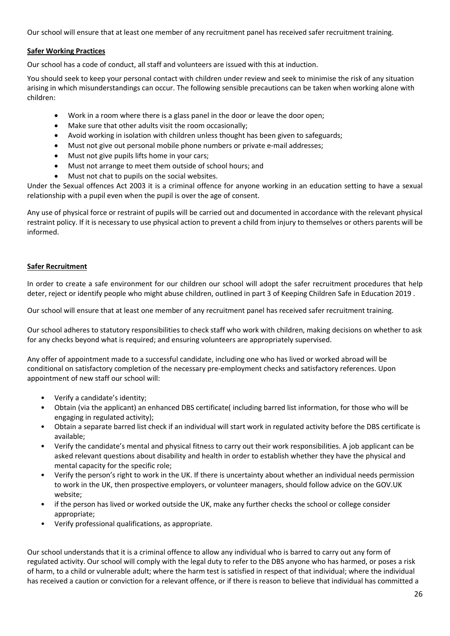Our school will ensure that at least one member of any recruitment panel has received safer recruitment training.

#### **Safer Working Practices**

Our school has a code of conduct, all staff and volunteers are issued with this at induction.

You should seek to keep your personal contact with children under review and seek to minimise the risk of any situation arising in which misunderstandings can occur. The following sensible precautions can be taken when working alone with children:

- Work in a room where there is a glass panel in the door or leave the door open;
- Make sure that other adults visit the room occasionally;
- Avoid working in isolation with children unless thought has been given to safeguards;
- Must not give out personal mobile phone numbers or private e-mail addresses;
- Must not give pupils lifts home in your cars;
- Must not arrange to meet them outside of school hours; and
- Must not chat to pupils on the social websites.

Under the Sexual offences Act 2003 it is a criminal offence for anyone working in an education setting to have a sexual relationship with a pupil even when the pupil is over the age of consent.

Any use of physical force or restraint of pupils will be carried out and documented in accordance with the relevant physical restraint policy. If it is necessary to use physical action to prevent a child from injury to themselves or others parents will be informed.

## **Safer Recruitment**

In order to create a safe environment for our children our school will adopt the safer recruitment procedures that help deter, reject or identify people who might abuse children, outlined in part 3 of Keeping Children Safe in Education 2019 .

Our school will ensure that at least one member of any recruitment panel has received safer recruitment training.

Our school adheres to statutory responsibilities to check staff who work with children, making decisions on whether to ask for any checks beyond what is required; and ensuring volunteers are appropriately supervised.

Any offer of appointment made to a successful candidate, including one who has lived or worked abroad will be conditional on satisfactory completion of the necessary pre-employment checks and satisfactory references. Upon appointment of new staff our school will:

- Verify a candidate's identity;
- Obtain (via the applicant) an enhanced DBS certificate( including barred list information, for those who will be engaging in regulated activity);
- Obtain a separate barred list check if an individual will start work in regulated activity before the DBS certificate is available;
- Verify the candidate's mental and physical fitness to carry out their work responsibilities. A job applicant can be asked relevant questions about disability and health in order to establish whether they have the physical and mental capacity for the specific role;
- Verify the person's right to work in the UK. If there is uncertainty about whether an individual needs permission to work in the UK, then prospective employers, or volunteer managers, should follow advice on the GOV.UK website;
- if the person has lived or worked outside the UK, make any further checks the school or college consider appropriate;
- Verify professional qualifications, as appropriate.

Our school understands that it is a criminal offence to allow any individual who is barred to carry out any form of regulated activity. Our school will comply with the legal duty to refer to the DBS anyone who has harmed, or poses a risk of harm, to a child or vulnerable adult; where the harm test is satisfied in respect of that individual; where the individual has received a caution or conviction for a relevant offence, or if there is reason to believe that individual has committed a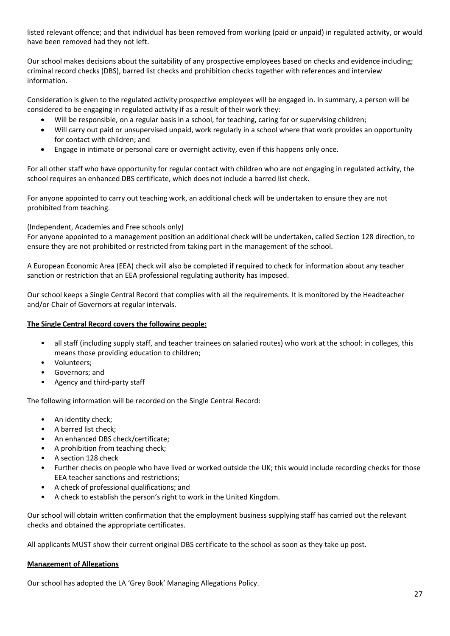listed relevant offence; and that individual has been removed from working (paid or unpaid) in regulated activity, or would have been removed had they not left.

Our school makes decisions about the suitability of any prospective employees based on checks and evidence including; criminal record checks (DBS), barred list checks and prohibition checks together with references and interview information.

Consideration is given to the regulated activity prospective employees will be engaged in. In summary, a person will be considered to be engaging in regulated activity if as a result of their work they:

- Will be responsible, on a regular basis in a school, for teaching, caring for or supervising children;
- Will carry out paid or unsupervised unpaid, work regularly in a school where that work provides an opportunity for contact with children; and
- Engage in intimate or personal care or overnight activity, even if this happens only once.

For all other staff who have opportunity for regular contact with children who are not engaging in regulated activity, the school requires an enhanced DBS certificate, which does not include a barred list check.

For anyone appointed to carry out teaching work, an additional check will be undertaken to ensure they are not prohibited from teaching.

# (Independent, Academies and Free schools only)

For anyone appointed to a management position an additional check will be undertaken, called Section 128 direction, to ensure they are not prohibited or restricted from taking part in the management of the school.

A European Economic Area (EEA) check will also be completed if required to check for information about any teacher sanction or restriction that an EEA professional regulating authority has imposed.

Our school keeps a Single Central Record that complies with all the requirements. It is monitored by the Headteacher and/or Chair of Governors at regular intervals.

#### **The Single Central Record covers the following people:**

- all staff (including supply staff, and teacher trainees on salaried routes) who work at the school: in colleges, this means those providing education to children;
- Volunteers;
- Governors; and
- Agency and third-party staff

The following information will be recorded on the Single Central Record:

- An identity check;
- A barred list check;
- An enhanced DBS check/certificate;
- A prohibition from teaching check;
- A section 128 check
- Further checks on people who have lived or worked outside the UK; this would include recording checks for those EEA teacher sanctions and restrictions;
- A check of professional qualifications; and
- A check to establish the person's right to work in the United Kingdom.

Our school will obtain written confirmation that the employment business supplying staff has carried out the relevant checks and obtained the appropriate certificates.

All applicants MUST show their current original DBS certificate to the school as soon as they take up post.

#### **Management of Allegations**

Our school has adopted the LA 'Grey Book' Managing Allegations Policy.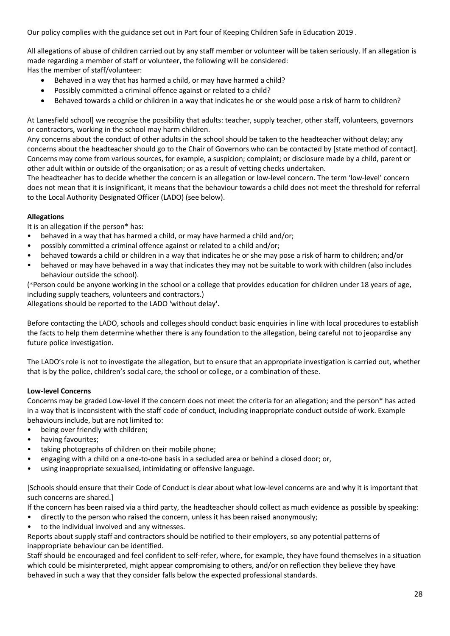Our policy complies with the guidance set out in Part four of Keeping Children Safe in Education 2019 .

All allegations of abuse of children carried out by any staff member or volunteer will be taken seriously. If an allegation is made regarding a member of staff or volunteer, the following will be considered: Has the member of staff/volunteer:

- Behaved in a way that has harmed a child, or may have harmed a child?
- Possibly committed a criminal offence against or related to a child?
- Behaved towards a child or children in a way that indicates he or she would pose a risk of harm to children?

At Lanesfield school] we recognise the possibility that adults: teacher, supply teacher, other staff, volunteers, governors or contractors, working in the school may harm children.

Any concerns about the conduct of other adults in the school should be taken to the headteacher without delay; any concerns about the headteacher should go to the Chair of Governors who can be contacted by [state method of contact]. Concerns may come from various sources, for example, a suspicion; complaint; or disclosure made by a child, parent or other adult within or outside of the organisation; or as a result of vetting checks undertaken.

The headteacher has to decide whether the concern is an allegation or low-level concern. The term 'low-level' concern does not mean that it is insignificant, it means that the behaviour towards a child does not meet the threshold for referral to the Local Authority Designated Officer (LADO) (see below).

# **Allegations**

It is an allegation if the person\* has:

- behaved in a way that has harmed a child, or may have harmed a child and/or;
- possibly committed a criminal offence against or related to a child and/or;
- behaved towards a child or children in a way that indicates he or she may pose a risk of harm to children; and/or
- behaved or may have behaved in a way that indicates they may not be suitable to work with children (also includes behaviour outside the school).

(\*Person could be anyone working in the school or a college that provides education for children under 18 years of age, including supply teachers, volunteers and contractors.)

Allegations should be reported to the LADO 'without delay'.

Before contacting the LADO, schools and colleges should conduct basic enquiries in line with local procedures to establish the facts to help them determine whether there is any foundation to the allegation, being careful not to jeopardise any future police investigation.

The LADO's role is not to investigate the allegation, but to ensure that an appropriate investigation is carried out, whether that is by the police, children's social care, the school or college, or a combination of these.

# **Low-level Concerns**

Concerns may be graded Low-level if the concern does not meet the criteria for an allegation; and the person\* has acted in a way that is inconsistent with the staff code of conduct, including inappropriate conduct outside of work. Example behaviours include, but are not limited to:

- being over friendly with children;
- having favourites;
- taking photographs of children on their mobile phone;
- engaging with a child on a one-to-one basis in a secluded area or behind a closed door; or,
- using inappropriate sexualised, intimidating or offensive language.

[Schools should ensure that their Code of Conduct is clear about what low-level concerns are and why it is important that such concerns are shared.]

If the concern has been raised via a third party, the headteacher should collect as much evidence as possible by speaking:

- directly to the person who raised the concern, unless it has been raised anonymously;
- to the individual involved and any witnesses.

Reports about supply staff and contractors should be notified to their employers, so any potential patterns of inappropriate behaviour can be identified.

Staff should be encouraged and feel confident to self-refer, where, for example, they have found themselves in a situation which could be misinterpreted, might appear compromising to others, and/or on reflection they believe they have behaved in such a way that they consider falls below the expected professional standards.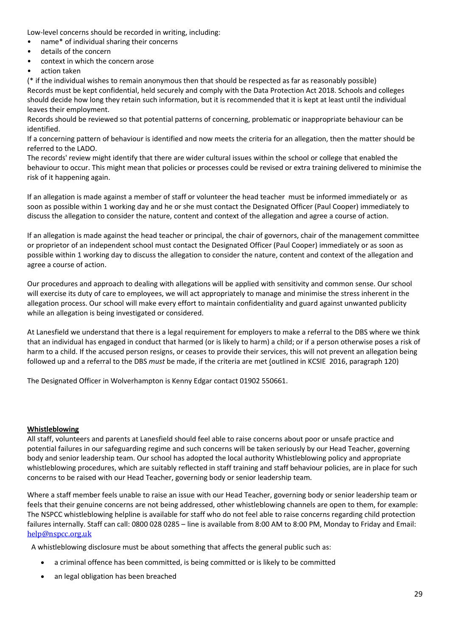Low-level concerns should be recorded in writing, including:

- name\* of individual sharing their concerns
- details of the concern
- context in which the concern arose
- action taken

(\* if the individual wishes to remain anonymous then that should be respected as far as reasonably possible) Records must be kept confidential, held securely and comply with the Data Protection Act 2018. Schools and colleges should decide how long they retain such information, but it is recommended that it is kept at least until the individual leaves their employment.

Records should be reviewed so that potential patterns of concerning, problematic or inappropriate behaviour can be identified.

If a concerning pattern of behaviour is identified and now meets the criteria for an allegation, then the matter should be referred to the LADO.

The records' review might identify that there are wider cultural issues within the school or college that enabled the behaviour to occur. This might mean that policies or processes could be revised or extra training delivered to minimise the risk of it happening again.

If an allegation is made against a member of staff or volunteer the head teacher must be informed immediately or as soon as possible within 1 working day and he or she must contact the Designated Officer (Paul Cooper) immediately to discuss the allegation to consider the nature, content and context of the allegation and agree a course of action.

If an allegation is made against the head teacher or principal, the chair of governors, chair of the management committee or proprietor of an independent school must contact the Designated Officer (Paul Cooper) immediately or as soon as possible within 1 working day to discuss the allegation to consider the nature, content and context of the allegation and agree a course of action.

Our procedures and approach to dealing with allegations will be applied with sensitivity and common sense. Our school will exercise its duty of care to employees, we will act appropriately to manage and minimise the stress inherent in the allegation process. Our school will make every effort to maintain confidentiality and guard against unwanted publicity while an allegation is being investigated or considered.

At Lanesfield we understand that there is a legal requirement for employers to make a referral to the DBS where we think that an individual has engaged in conduct that harmed (or is likely to harm) a child; or if a person otherwise poses a risk of harm to a child. If the accused person resigns, or ceases to provide their services, this will not prevent an allegation being followed up and a referral to the DBS *must* be made, if the criteria are met (outlined in KCSIE 2016, paragraph 120)

The Designated Officer in Wolverhampton is Kenny Edgar contact 01902 550661.

#### **Whistleblowing**

All staff, volunteers and parents at Lanesfield should feel able to raise concerns about poor or unsafe practice and potential failures in our safeguarding regime and such concerns will be taken seriously by our Head Teacher, governing body and senior leadership team. Our school has adopted the local authority Whistleblowing policy and appropriate whistleblowing procedures, which are suitably reflected in staff training and staff behaviour policies, are in place for such concerns to be raised with our Head Teacher, governing body or senior leadership team.

Where a staff member feels unable to raise an issue with our Head Teacher, governing body or senior leadership team or feels that their genuine concerns are not being addressed, other whistleblowing channels are open to them, for example: The NSPCC whistleblowing helpline is available for staff who do not feel able to raise concerns regarding child protection failures internally. Staff can call: 0800 028 0285 – line is available from 8:00 AM to 8:00 PM, Monday to Friday and Email: [help@nspcc.org.uk](mailto:help@nspcc.org.uk)

A whistleblowing disclosure must be about something that affects the general public such as:

- a criminal offence has been committed, is being committed or is likely to be committed
- an legal obligation has been breached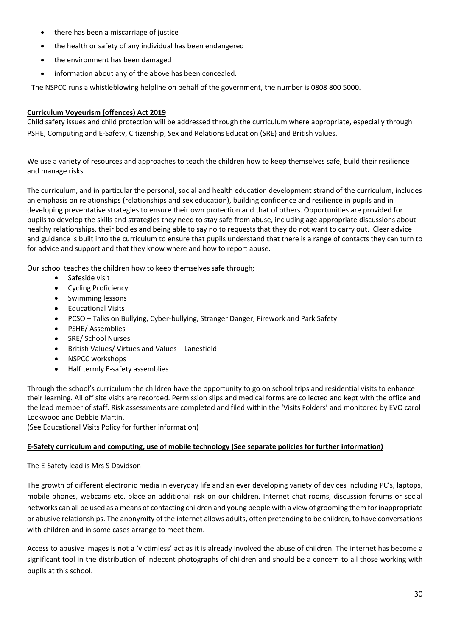- there has been a miscarriage of justice
- the health or safety of any individual has been endangered
- the environment has been damaged
- information about any of the above has been concealed.

The NSPCC runs a whistleblowing helpline on behalf of the government, the number is 0808 800 5000.

## **Curriculum Voyeurism (offences) Act 2019**

Child safety issues and child protection will be addressed through the curriculum where appropriate, especially through PSHE, Computing and E-Safety, Citizenship, Sex and Relations Education (SRE) and British values.

We use a variety of resources and approaches to teach the children how to keep themselves safe, build their resilience and manage risks.

The curriculum, and in particular the personal, social and health education development strand of the curriculum, includes an emphasis on relationships (relationships and sex education), building confidence and resilience in pupils and in developing preventative strategies to ensure their own protection and that of others. Opportunities are provided for pupils to develop the skills and strategies they need to stay safe from abuse, including age appropriate discussions about healthy relationships, their bodies and being able to say no to requests that they do not want to carry out. Clear advice and guidance is built into the curriculum to ensure that pupils understand that there is a range of contacts they can turn to for advice and support and that they know where and how to report abuse.

Our school teaches the children how to keep themselves safe through;

- Safeside visit
- Cycling Proficiency
- Swimming lessons
- Educational Visits
- PCSO Talks on Bullying, Cyber-bullying, Stranger Danger, Firework and Park Safety
- PSHE/ Assemblies
- SRE/ School Nurses
- British Values/ Virtues and Values Lanesfield
- NSPCC workshops
- Half termly E-safety assemblies

Through the school's curriculum the children have the opportunity to go on school trips and residential visits to enhance their learning. All off site visits are recorded. Permission slips and medical forms are collected and kept with the office and the lead member of staff. Risk assessments are completed and filed within the 'Visits Folders' and monitored by EVO carol Lockwood and Debbie Martin.

(See Educational Visits Policy for further information)

#### **E-Safety curriculum and computing, use of mobile technology (See separate policies for further information)**

The E-Safety lead is Mrs S Davidson

The growth of different electronic media in everyday life and an ever developing variety of devices including PC's, laptops, mobile phones, webcams etc. place an additional risk on our children. Internet chat rooms, discussion forums or social networks can all be used as a means of contacting children and young people with a view of grooming them for inappropriate or abusive relationships. The anonymity of the internet allows adults, often pretending to be children, to have conversations with children and in some cases arrange to meet them.

Access to abusive images is not a 'victimless' act as it is already involved the abuse of children. The internet has become a significant tool in the distribution of indecent photographs of children and should be a concern to all those working with pupils at this school.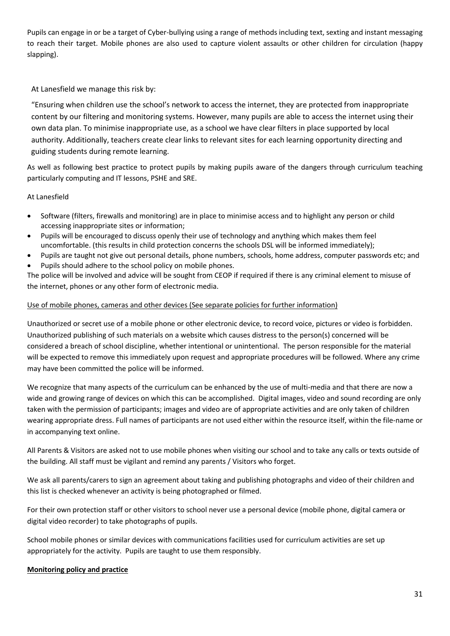Pupils can engage in or be a target of Cyber-bullying using a range of methods including text, sexting and instant messaging to reach their target. Mobile phones are also used to capture violent assaults or other children for circulation (happy slapping).

# At Lanesfield we manage this risk by:

"Ensuring when children use the school's network to access the internet, they are protected from inappropriate content by our filtering and monitoring systems. However, many pupils are able to access the internet using their own data plan. To minimise inappropriate use, as a school we have clear filters in place supported by local authority. Additionally, teachers create clear links to relevant sites for each learning opportunity directing and guiding students during remote learning.

As well as following best practice to protect pupils by making pupils aware of the dangers through curriculum teaching particularly computing and IT lessons, PSHE and SRE.

## At Lanesfield

- Software (filters, firewalls and monitoring) are in place to minimise access and to highlight any person or child accessing inappropriate sites or information;
- Pupils will be encouraged to discuss openly their use of technology and anything which makes them feel uncomfortable. (this results in child protection concerns the schools DSL will be informed immediately);
- Pupils are taught not give out personal details, phone numbers, schools, home address, computer passwords etc; and
- Pupils should adhere to the school policy on mobile phones.

The police will be involved and advice will be sought from CEOP if required if there is any criminal element to misuse of the internet, phones or any other form of electronic media.

#### Use of mobile phones, cameras and other devices (See separate policies for further information)

Unauthorized or secret use of a mobile phone or other electronic device, to record voice, pictures or video is forbidden. Unauthorized publishing of such materials on a website which causes distress to the person(s) concerned will be considered a breach of school discipline, whether intentional or unintentional. The person responsible for the material will be expected to remove this immediately upon request and appropriate procedures will be followed. Where any crime may have been committed the police will be informed.

We recognize that many aspects of the curriculum can be enhanced by the use of multi-media and that there are now a wide and growing range of devices on which this can be accomplished. Digital images, video and sound recording are only taken with the permission of participants; images and video are of appropriate activities and are only taken of children wearing appropriate dress. Full names of participants are not used either within the resource itself, within the file-name or in accompanying text online.

All Parents & Visitors are asked not to use mobile phones when visiting our school and to take any calls or texts outside of the building. All staff must be vigilant and remind any parents / Visitors who forget.

We ask all parents/carers to sign an agreement about taking and publishing photographs and video of their children and this list is checked whenever an activity is being photographed or filmed.

For their own protection staff or other visitors to school never use a personal device (mobile phone, digital camera or digital video recorder) to take photographs of pupils.

School mobile phones or similar devices with communications facilities used for curriculum activities are set up appropriately for the activity. Pupils are taught to use them responsibly.

#### **Monitoring policy and practice**